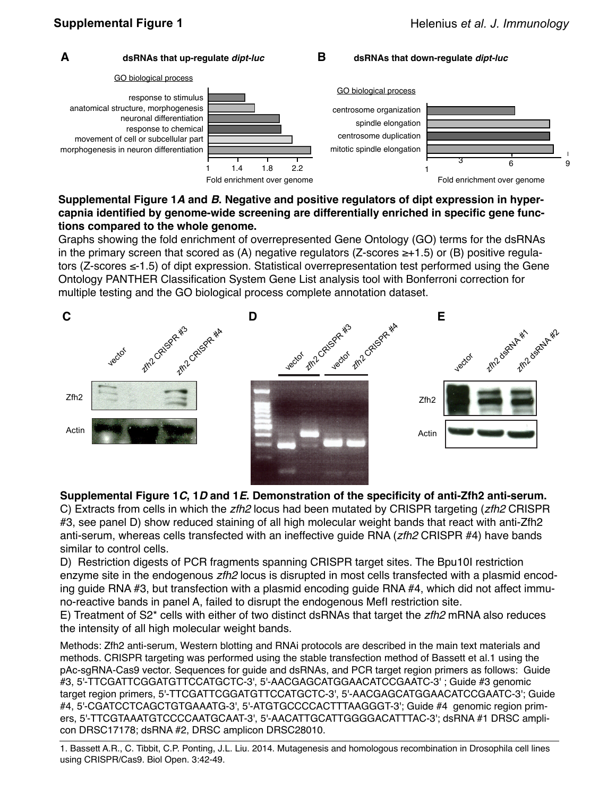

### **Supplemental Figure 1***A* **and** *B***. Negative and positive regulators of dipt expression in hypercapnia identified by genome-wide screening are differentially enriched in specific gene functions compared to the whole genome.**

Graphs showing the fold enrichment of overrepresented Gene Ontology (GO) terms for the dsRNAs in the primary screen that scored as (A) negative regulators (Z-scores  $\geq +1.5$ ) or (B) positive regulators (Z-scores ≤-1.5) of dipt expression. Statistical overrepresentation test performed using the Gene Ontology PANTHER Classification System Gene List analysis tool with Bonferroni correction for multiple testing and the GO biological process complete annotation dataset.



## **Supplemental Figure 1***C***, 1***D* **and 1***E***. Demonstration of the specificity of anti-Zfh2 anti-serum.**

C) Extracts from cells in which the *zfh2* locus had been mutated by CRISPR targeting (*zfh2* CRISPR #3, see panel D) show reduced staining of all high molecular weight bands that react with anti-Zfh2 anti-serum, whereas cells transfected with an ineffective guide RNA (*zfh2* CRISPR #4) have bands similar to control cells.

D) Restriction digests of PCR fragments spanning CRISPR target sites. The Bpu10I restriction enzyme site in the endogenous *zfh2* locus is disrupted in most cells transfected with a plasmid encoding guide RNA #3, but transfection with a plasmid encoding guide RNA #4, which did not affect immuno-reactive bands in panel A, failed to disrupt the endogenous MefI restriction site.

E) Treatment of S2\* cells with either of two distinct dsRNAs that target the *zfh2* mRNA also reduces the intensity of all high molecular weight bands.

Methods: Zfh2 anti-serum, Western blotting and RNAi protocols are described in the main text materials and methods. CRISPR targeting was performed using the stable transfection method of Bassett et al.1 using the pAc-sgRNA-Cas9 vector. Sequences for guide and dsRNAs, and PCR target region primers as follows: Guide #3, 5'-TTCGATTCGGATGTTCCATGCTC-3', 5'-AACGAGCATGGAACATCCGAATC-3' ; Guide #3 genomic target region primers, 5'-TTCGATTCGGATGTTCCATGCTC-3', 5'-AACGAGCATGGAACATCCGAATC-3'; Guide #4, 5'-CGATCCTCAGCTGTGAAATG-3', 5'-ATGTGCCCCACTTTAAGGGT-3'; Guide #4 genomic region primers, 5'-TTCGTAAATGTCCCCAATGCAAT-3', 5'-AACATTGCATTGGGGACATTTAC-3'; dsRNA #1 DRSC amplicon DRSC17178; dsRNA #2, DRSC amplicon DRSC28010.

1. Bassett A.R., C. Tibbit, C.P. Ponting, J.L. Liu. 2014. Mutagenesis and homologous recombination in Drosophila cell lines using CRISPR/Cas9. Biol Open. 3:42-49.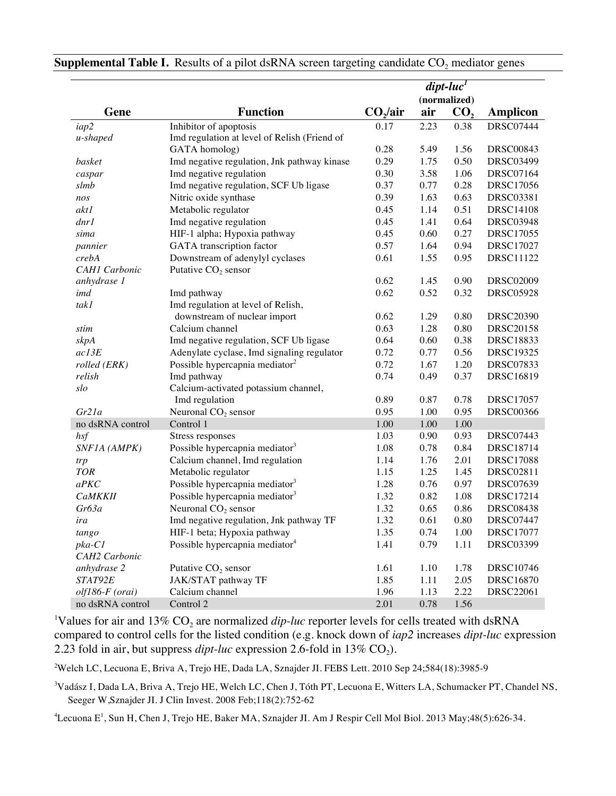|                      |                                              | $dipt-luc1$          |      |                 |                  |  |
|----------------------|----------------------------------------------|----------------------|------|-----------------|------------------|--|
|                      |                                              |                      |      | (normalized)    |                  |  |
| Gene                 | <b>Function</b>                              | CO <sub>2</sub> /air | air  | CO <sub>2</sub> | <b>Amplicon</b>  |  |
| iap2                 | Inhibitor of apoptosis                       | 0.17                 | 2.23 | 0.38            | <b>DRSC07444</b> |  |
| u-shaped             | Imd regulation at level of Relish (Friend of |                      |      |                 |                  |  |
|                      | GATA homolog)                                | 0.28                 | 5.49 | 1.56            | <b>DRSC00843</b> |  |
| basket               | Imd negative regulation, Jnk pathway kinase  | 0.29                 | 1.75 | 0.50            | <b>DRSC03499</b> |  |
| caspar               | Imd negative regulation                      | 0.30                 | 3.58 | 1.06            | <b>DRSC07164</b> |  |
| slmb                 | Imd negative regulation, SCF Ub ligase       | 0.37                 | 0.77 | 0.28            | <b>DRSC17056</b> |  |
| nos                  | Nitric oxide synthase                        | 0.39                 | 1.63 | 0.63            | <b>DRSC03381</b> |  |
| akt1                 | Metabolic regulator                          | 0.45                 | 1.14 | 0.51            | <b>DRSC14108</b> |  |
| dnr1                 | Imd negative regulation                      | 0.45                 | 1.41 | 0.64            | <b>DRSC03948</b> |  |
| sima                 | HIF-1 alpha; Hypoxia pathway                 | 0.45                 | 0.60 | 0.27            | <b>DRSC17055</b> |  |
| pannier              | GATA transcription factor                    | 0.57                 | 1.64 | 0.94            | DRSC17027        |  |
| crebA                | Downstream of adenylyl cyclases              | 0.61                 | 1.55 | 0.95            | DRSC11122        |  |
| <b>CAH1</b> Carbonic | Putative $CO2$ sensor                        |                      |      |                 |                  |  |
| anhydrase 1          |                                              | 0.62                 | 1.45 | 0.90            | <b>DRSC02009</b> |  |
| imd                  | Imd pathway                                  | 0.62                 | 0.52 | 0.32            | <b>DRSC05928</b> |  |
| tak1                 | Imd regulation at level of Relish,           |                      |      |                 |                  |  |
|                      | downstream of nuclear import                 | 0.62                 | 1.29 | 0.80            | <b>DRSC20390</b> |  |
| stim                 | Calcium channel                              | 0.63                 | 1.28 | 0.80            | <b>DRSC20158</b> |  |
| skpA                 | Imd negative regulation, SCF Ub ligase       | 0.64                 | 0.60 | 0.38            | DRSC18833        |  |
| ac13E                | Adenylate cyclase, Imd signaling regulator   | 0.72                 | 0.77 | 0.56            | <b>DRSC19325</b> |  |
| rolled (ERK)         | Possible hypercapnia mediator <sup>2</sup>   | 0.72                 | 1.67 | 1.20            | <b>DRSC07833</b> |  |
| relish               | Imd pathway                                  | 0.74                 | 0.49 | 0.37            | DRSC16819        |  |
| slo                  | Calcium-activated potassium channel,         |                      |      |                 |                  |  |
|                      | Imd regulation                               | 0.89                 | 0.87 | 0.78            | <b>DRSC17057</b> |  |
| Gr21a                | Neuronal $CO2$ sensor                        | 0.95                 | 1.00 | 0.95            | <b>DRSC00366</b> |  |
| no dsRNA control     | Control 1                                    | 1.00                 | 1.00 | 1.00            |                  |  |
| hsf                  | Stress responses                             | 1.03                 | 0.90 | 0.93            | <b>DRSC07443</b> |  |
| SNF1A (AMPK)         | Possible hypercapnia mediator <sup>3</sup>   | 1.08                 | 0.78 | 0.84            | DRSC18714        |  |
| trp                  | Calcium channel, Imd regulation              | 1.14                 | 1.76 | 2.01            | <b>DRSC17088</b> |  |
| <b>TOR</b>           | Metabolic regulator                          | 1.15                 | 1.25 | 1.45            | DRSC02811        |  |
| a P K C              | Possible hypercapnia mediator <sup>3</sup>   | 1.28                 | 0.76 | 0.97            | <b>DRSC07639</b> |  |
| <b>CaMKKII</b>       | Possible hypercapnia mediator <sup>3</sup>   | 1.32                 | 0.82 | 1.08            | DRSC17214        |  |
| Gr63a                | Neuronal $CO2$ sensor                        | 1.32                 | 0.65 | 0.86            | <b>DRSC08438</b> |  |
| ira                  | Imd negative regulation, Jnk pathway TF      | 1.32                 | 0.61 | 0.80            | <b>DRSC07447</b> |  |
| tango                | HIF-1 beta; Hypoxia pathway                  | 1.35                 | 0.74 | 1.00            | <b>DRSC17077</b> |  |
| $pka-C1$             | Possible hypercapnia mediator <sup>4</sup>   | 1.41                 | 0.79 | 1.11            | <b>DRSC03399</b> |  |
| CAH2 Carbonic        |                                              |                      |      |                 |                  |  |
| anhydrase 2          | Putative CO <sub>2</sub> sensor              | 1.61                 | 1.10 | 1.78            | <b>DRSC10746</b> |  |
| STAT92E              | JAK/STAT pathway TF                          | 1.85                 | 1.11 | 2.05            | <b>DRSC16870</b> |  |
| $olf186-F$ (orai)    | Calcium channel                              | 1.96                 | 1.13 | 2.22            | <b>DRSC22061</b> |  |
| no dsRNA control     | Control 2                                    | 2.01                 | 0.78 | 1.56            |                  |  |

**Supplemental Table I.** Results of a pilot dsRNA screen targeting candidate CO<sub>2</sub> mediator genes

<sup>1</sup>Values for air and 13%  $CO_2$  are normalized *dip-luc* reporter levels for cells treated with dsRNA compared to control cells for the listed condition (e.g. knock down of *iap2* increases *dipt-luc* expression 2.23 fold in air, but suppress  $dipt$ -luc expression 2.6-fold in 13% CO<sub>2</sub>).

2 Welch LC, Lecuona E, Briva A, Trejo HE, Dada LA, Sznajder JI. FEBS Lett. 2010 Sep 24;584(18):3985-9

3 Vadász I, Dada LA, Briva A, Trejo HE, Welch LC, Chen J, Tóth PT, Lecuona E, Witters LA, Schumacker PT, Chandel NS, Seeger W,Sznajder JI. J Clin Invest. 2008 Feb;118(2):752-62

 $^4$ Lecuona E $^1$ , Sun H, Chen J, Trejo HE, Baker MA, Sznajder JI. Am J Respir Cell Mol Biol. 2013 May;48(5):626-34.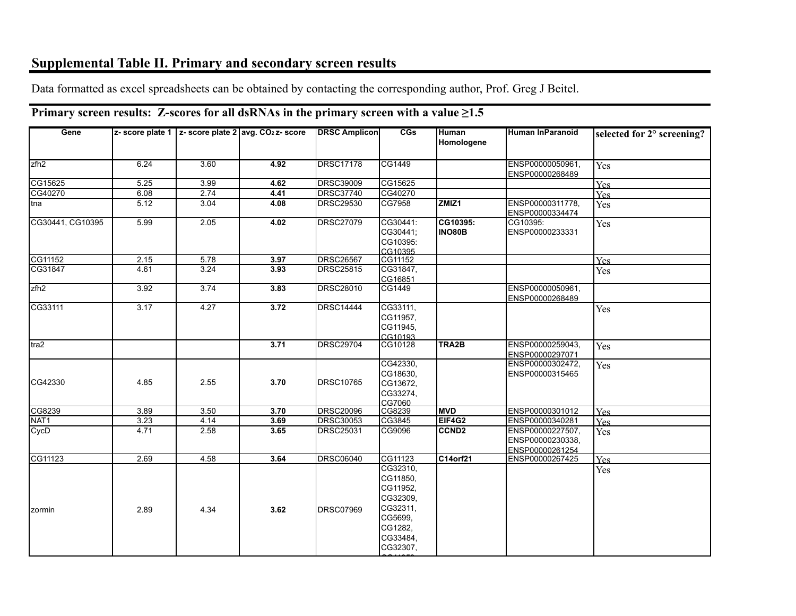## **Supplemental Table II. Primary and secondary screen results**

Data formatted as excel spreadsheets can be obtained by contacting the corresponding author, Prof. Greg J Beitel.

#### **Gene z- score plate 1 z- score plate 2 avg. CO2 z- score DRSC Amplicon CGs Human Homologene Human InParanoid selected for 2° screening?** zfh2 6.24 3.60 **4.92** DRSC17178 CG1449 ENSP00000050961, ENSP00000268489 Yes CG15625 5.25 3.99 **4.62** DRSC39009 CG15625 Yes CG40270 6.08 2.74 **4.41** DRSC37740 CG40270 Yes tna 5.12 3.04 **4.08** DRSC29530 CG7958 **ZMIZ1** ENSP00000311778, ENSP00000334474 Yes CG30441, CG10395 5.99 2.05 **4.02** DRSC27079 CG30441: CG30441; CG10395: CG10395<br>CG11152 **CG10395: INO80B** CG10395: ENSP00000233331 Yes CG11152 2.15 5.78 **3.97** DRSC26567 CG11152 Yes CG31847 4.61 3.24 **3.93** DRSC25815 CG31847, CG16851<br>CG1449 Yes zfh2 3.92 3.74 **3.83** DRSC28010 CG1449 ENSP00000050961, ENSP00000268489 CG33111 3.17 4.27 **3.72** DRSC14444 CG33111, CG11957, CG11945, CG10193 Yes tra2 **3.71** DRSC29704 CG10128 **TRA2B** ENSP00000259043, ENSP00000297071 Yes CG42330 4.85 2.55 **3.70** DRSC10765 CG42330, CG18630, CG13672, CG33274, CG7060 ENSP00000302472, ENSP00000315465 Yes CG8239 3.89 3.50 **3.70** DRSC20096 CG8239 **MVD** ENSP00000301012 Yes NAT1 3.23 4.14 **3.69** DRSC30053 CG3845 **EIF4G2** ENSP00000340281 Yes CycD 4.71 2.58 **3.65** DRSC25031 CG9096 **CCND2** ENSP00000227507, ENSP00000230338, ENSP00000261254<br>ENSP00000267425 Yes CG11123 2.69 4.58 **3.64** DRSC06040 CG11123 **C14orf21** ENSP00000267425 Yes zormin 2.89 4.34 **3.62** DRSC07969 CG32310, CG11850, CG11952, CG32309, CG32311, CG5699, CG1282, CG33484, CG32307, Yes

2211252

### **Primary screen results: Z-scores for all dsRNAs in the primary screen with a value ≥1.5**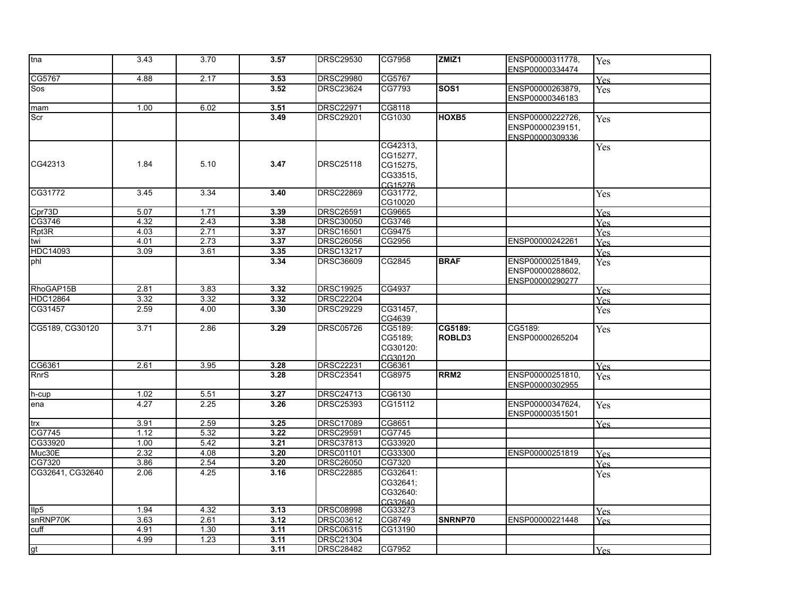| tna              | 3.43 | 3.70 | 3.57 | <b>DRSC29530</b> | CG7958                                                  | ZMIZ1             | ENSP00000311778,                                        | Yes        |
|------------------|------|------|------|------------------|---------------------------------------------------------|-------------------|---------------------------------------------------------|------------|
|                  |      |      |      |                  |                                                         |                   | ENSP00000334474                                         |            |
| CG5767           | 4.88 | 2.17 | 3.53 | <b>DRSC29980</b> | CG5767                                                  |                   |                                                         | Yes        |
| Sos              |      |      | 3.52 | <b>DRSC23624</b> | CG7793                                                  | SOS <sub>1</sub>  | ENSP00000263879,<br>ENSP00000346183                     | <b>Yes</b> |
| mam              | 1.00 | 6.02 | 3.51 | <b>DRSC22971</b> | CG8118                                                  |                   |                                                         |            |
| Scr              |      |      | 3.49 | <b>DRSC29201</b> | CG1030                                                  | HOXB5             | ENSP00000222726,<br>ENSP00000239151,<br>ENSP00000309336 | Yes        |
| CG42313          | 1.84 | 5.10 | 3.47 | <b>DRSC25118</b> | CG42313,<br>CG15277,<br>CG15275,<br>CG33515,<br>CG15276 |                   |                                                         | Yes        |
| CG31772          | 3.45 | 3.34 | 3.40 | <b>DRSC22869</b> | CG31772,<br>CG10020                                     |                   |                                                         | Yes        |
| Cpr73D           | 5.07 | 1.71 | 3.39 | <b>DRSC26591</b> | CG9665                                                  |                   |                                                         | <b>Yes</b> |
| CG3746           | 4.32 | 2.43 | 3.38 | <b>DRSC30050</b> | CG3746                                                  |                   |                                                         | Yes        |
| Rpt3R            | 4.03 | 2.71 | 3.37 | <b>DRSC16501</b> | CG9475                                                  |                   |                                                         | Yes        |
| twi              | 4.01 | 2.73 | 3.37 | <b>DRSC26056</b> | CG2956                                                  |                   | ENSP00000242261                                         | <b>Yes</b> |
| <b>HDC14093</b>  | 3.09 | 3.61 | 3.35 | <b>DRSC13217</b> |                                                         |                   |                                                         | <b>Yes</b> |
| phl              |      |      | 3.34 | DRSC36609        | CG2845                                                  | <b>BRAF</b>       | ENSP00000251849,<br>ENSP00000288602,<br>ENSP00000290277 | Yes        |
| RhoGAP15B        | 2.81 | 3.83 | 3.32 | <b>DRSC19925</b> | CG4937                                                  |                   |                                                         | Yes.       |
| <b>HDC12864</b>  | 3.32 | 3.32 | 3.32 | <b>DRSC22204</b> |                                                         |                   |                                                         | Yes        |
| CG31457          | 2.59 | 4.00 | 3.30 | <b>DRSC29229</b> | CG31457,<br>CG4639                                      |                   |                                                         | Yes        |
| CG5189, CG30120  | 3.71 | 2.86 | 3.29 | <b>DRSC05726</b> | CG5189:<br>CG5189;<br>CG30120:<br>CG30120               | CG5189:<br>ROBLD3 | CG5189:<br>ENSP00000265204                              | Yes        |
| CG6361           | 2.61 | 3.95 | 3.28 | <b>DRSC22231</b> | CG6361                                                  |                   |                                                         | <b>Yes</b> |
| RnrS             |      |      | 3.28 | <b>DRSC23541</b> | CG8975                                                  | RRM <sub>2</sub>  | ENSP00000251810,<br>ENSP00000302955                     | <b>Yes</b> |
| h-cup            | 1.02 | 5.51 | 3.27 | DRSC24713        | CG6130                                                  |                   |                                                         |            |
| lena             | 4.27 | 2.25 | 3.26 | <b>DRSC25393</b> | CG15112                                                 |                   | ENSP00000347624,<br>ENSP00000351501                     | Yes        |
| trx              | 3.91 | 2.59 | 3.25 | <b>DRSC17089</b> | CG8651                                                  |                   |                                                         | <b>Yes</b> |
| CG7745           | 1.12 | 5.32 | 3.22 | <b>DRSC29591</b> | CG7745                                                  |                   |                                                         |            |
| CG33920          | 1.00 | 5.42 | 3.21 | <b>DRSC37813</b> | CG33920                                                 |                   |                                                         |            |
| Muc30E           | 2.32 | 4.08 | 3.20 | <b>DRSC01101</b> | CG33300                                                 |                   | ENSP00000251819                                         | Yes        |
| CG7320           | 3.86 | 2.54 | 3.20 | <b>DRSC26050</b> | CG7320                                                  |                   |                                                         | <b>Yes</b> |
| CG32641, CG32640 | 2.06 | 4.25 | 3.16 | <b>DRSC22885</b> | CG32641:<br>CG32641;<br>CG32640:<br>CG32640             |                   |                                                         | Yes        |
| Ilp5             | 1.94 | 4.32 | 3.13 | <b>DRSC08998</b> | CG33273                                                 |                   |                                                         | Yes        |
| snRNP70K         | 3.63 | 2.61 | 3.12 | <b>DRSC03612</b> | CG8749                                                  | SNRNP70           | ENSP00000221448                                         | <b>Yes</b> |
| cuff             | 4.91 | 1.30 | 3.11 | <b>DRSC06315</b> | CG13190                                                 |                   |                                                         |            |
|                  | 4.99 | 1.23 | 3.11 | <b>DRSC21304</b> |                                                         |                   |                                                         |            |
| gt               |      |      | 3.11 | <b>DRSC28482</b> | CG7952                                                  |                   |                                                         | Yes        |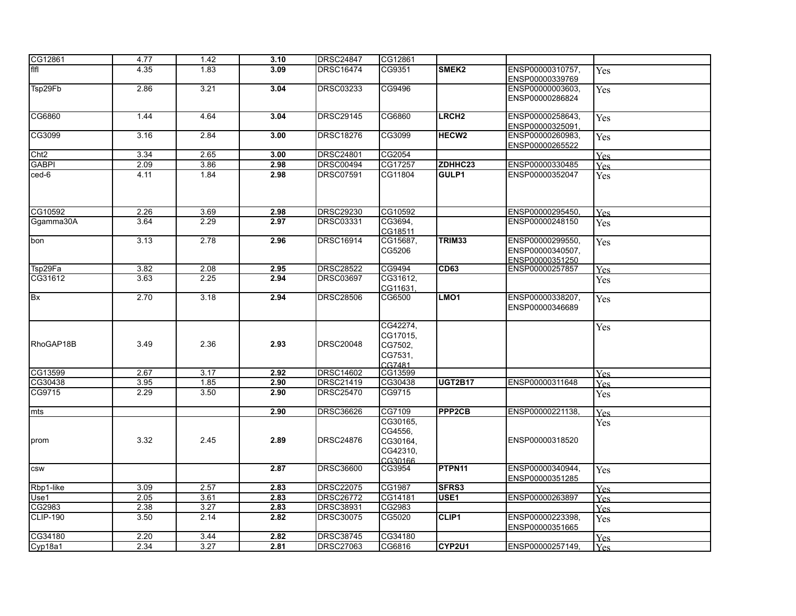| CG12861             | 4.77 | 1.42 | 3.10 | <b>DRSC24847</b> | CG12861                                                |                   |                                                         |            |
|---------------------|------|------|------|------------------|--------------------------------------------------------|-------------------|---------------------------------------------------------|------------|
| fifi                | 4.35 | 1.83 | 3.09 | <b>DRSC16474</b> | CG9351                                                 | SMEK2             | ENSP00000310757,<br>ENSP00000339769                     | Yes        |
| Tsp29Fb             | 2.86 | 3.21 | 3.04 | <b>DRSC03233</b> | CG9496                                                 |                   | ENSP00000003603,<br>ENSP00000286824                     | Yes        |
| CG6860              | 1.44 | 4.64 | 3.04 | <b>DRSC29145</b> | CG6860                                                 | LRCH <sub>2</sub> | ENSP00000258643,<br>ENSP00000325091                     | Yes        |
| CG3099              | 3.16 | 2.84 | 3.00 | <b>DRSC18276</b> | CG3099                                                 | HECW <sub>2</sub> | ENSP00000260983.<br>ENSP00000265522                     | Yes        |
| Cht <sub>2</sub>    | 3.34 | 2.65 | 3.00 | <b>DRSC24801</b> | CG2054                                                 |                   |                                                         | <b>Yes</b> |
| <b>GABPI</b>        | 2.09 | 3.86 | 2.98 | <b>DRSC00494</b> | CG17257                                                | ZDHHC23           | ENSP00000330485                                         | Yes        |
| ced-6               | 4.11 | 1.84 | 2.98 | <b>DRSC07591</b> | CG11804                                                | GULP1             | ENSP00000352047                                         | Yes        |
| CG10592             | 2.26 | 3.69 | 2.98 | <b>DRSC29230</b> | CG10592                                                |                   | ENSP00000295450.                                        | <b>Yes</b> |
| Ggamma30A           | 3.64 | 2.29 | 2.97 | <b>DRSC03331</b> | CG3694.<br>CG18511                                     |                   | ENSP00000248150                                         | Yes        |
| bon                 | 3.13 | 2.78 | 2.96 | DRSC16914        | CG15687,<br>CG5206                                     | TRIM33            | ENSP00000299550,<br>ENSP00000340507,<br>ENSP00000351250 | <b>Yes</b> |
| Tsp29Fa             | 3.82 | 2.08 | 2.95 | <b>DRSC28522</b> | CG9494                                                 | CD63              | ENSP00000257857                                         | Yes        |
| CG31612             | 3.63 | 2.25 | 2.94 | <b>DRSC03697</b> | CG31612,<br>CG11631.                                   |                   |                                                         | Yes        |
| lBx                 | 2.70 | 3.18 | 2.94 | <b>DRSC28506</b> | CG6500                                                 | LMO <sub>1</sub>  | ENSP00000338207,<br>ENSP00000346689                     | Yes        |
| RhoGAP18B           | 3.49 | 2.36 | 2.93 | <b>DRSC20048</b> | CG42274,<br>CG17015,<br>CG7502,<br>CG7531,<br>CG7481   |                   |                                                         | Yes        |
| CG13599             | 2.67 | 3.17 | 2.92 | <b>DRSC14602</b> | CG13599                                                |                   |                                                         | Yes        |
| CG30438             | 3.95 | 1.85 | 2.90 | DRSC21419        | CG30438                                                | <b>UGT2B17</b>    | ENSP00000311648                                         | Yes        |
| CG9715              | 2.29 | 3.50 | 2.90 | <b>DRSC25470</b> | CG9715                                                 |                   |                                                         | Yes        |
| mts                 |      |      | 2.90 | DRSC36626        | CG7109                                                 | PPP2CB            | ENSP00000221138,                                        | <b>Yes</b> |
| prom                | 3.32 | 2.45 | 2.89 | <b>DRSC24876</b> | CG30165,<br>CG4556,<br>CG30164,<br>CG42310,<br>CG30166 |                   | ENSP00000318520                                         | Yes        |
| csw                 |      |      | 2.87 | <b>DRSC36600</b> | CG3954                                                 | PTPN11            | ENSP00000340944,<br>ENSP00000351285                     | <b>Yes</b> |
| Rbp1-like           | 3.09 | 2.57 | 2.83 | <b>DRSC22075</b> | CG1987                                                 | SFRS3             |                                                         | <b>Yes</b> |
| Use1                | 2.05 | 3.61 | 2.83 | <b>DRSC26772</b> | CG14181                                                | USE1              | ENSP00000263897                                         | Yes        |
| CG2983              | 2.38 | 3.27 | 2.83 | DRSC38931        | CG2983                                                 |                   |                                                         | Yes        |
| CLIP-190            | 3.50 | 2.14 | 2.82 | <b>DRSC30075</b> | CG5020                                                 | CLIP1             | ENSP00000223398,<br>ENSP00000351665                     | Yes        |
| CG34180             | 2.20 | 3.44 | 2.82 | <b>DRSC38745</b> | CG34180                                                |                   |                                                         | Yes        |
| Cyp <sub>18a1</sub> | 2.34 | 3.27 | 2.81 | <b>DRSC27063</b> | CG6816                                                 | CYP2U1            | ENSP00000257149,                                        | <b>Yes</b> |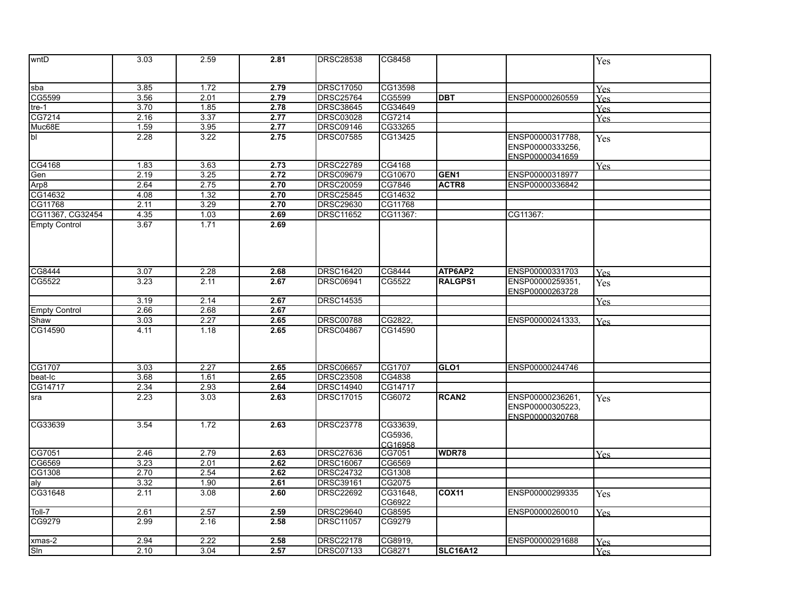| wntD                 | 3.03 | 2.59 | 2.81 | <b>DRSC28538</b> | CG8458   |                  |                  | Yes        |
|----------------------|------|------|------|------------------|----------|------------------|------------------|------------|
|                      |      |      |      |                  |          |                  |                  |            |
| sba                  | 3.85 | 1.72 | 2.79 | <b>DRSC17050</b> | CG13598  |                  |                  | Yes        |
| CG5599               | 3.56 | 2.01 | 2.79 | <b>DRSC25764</b> | CG5599   | <b>IDBT</b>      | ENSP00000260559  |            |
| tre-1                | 3.70 | 1.85 | 2.78 | <b>DRSC38645</b> | CG34649  |                  |                  | <b>Yes</b> |
| CG7214               | 2.16 | 3.37 | 2.77 | <b>DRSC03028</b> | CG7214   |                  |                  | <b>Yes</b> |
| Muc68E               | 1.59 | 3.95 | 2.77 | <b>DRSC09146</b> | CG33265  |                  |                  | Yes        |
| lbl                  | 2.28 | 3.22 | 2.75 | <b>DRSC07585</b> | CG13425  |                  | ENSP00000317788, |            |
|                      |      |      |      |                  |          |                  | ENSP00000333256, | Yes        |
|                      |      |      |      |                  |          |                  |                  |            |
| CG4168               | 1.83 | 3.63 | 2.73 | <b>DRSC22789</b> | CG4168   |                  | ENSP00000341659  | <b>Yes</b> |
| Gen                  | 2.19 | 3.25 | 2.72 | <b>DRSC09679</b> | CG10670  | <b>GEN1</b>      | ENSP00000318977  |            |
| Arp8                 | 2.64 | 2.75 | 2.70 | <b>DRSC20059</b> | CG7846   | ACTR8            | ENSP00000336842  |            |
| CG14632              | 4.08 | 1.32 | 2.70 | <b>DRSC25845</b> | CG14632  |                  |                  |            |
| CG11768              | 2.11 | 3.29 | 2.70 | <b>DRSC29630</b> | CG11768  |                  |                  |            |
| CG11367, CG32454     | 4.35 | 1.03 | 2.69 | DRSC11652        | CG11367: |                  | CG11367:         |            |
| <b>Empty Control</b> | 3.67 | 1.71 | 2.69 |                  |          |                  |                  |            |
|                      |      |      |      |                  |          |                  |                  |            |
|                      |      |      |      |                  |          |                  |                  |            |
|                      |      |      |      |                  |          |                  |                  |            |
|                      |      |      |      |                  |          |                  |                  |            |
| CG8444               | 3.07 | 2.28 | 2.68 | <b>DRSC16420</b> | CG8444   | ATP6AP2          | ENSP00000331703  | <b>Yes</b> |
| CG5522               | 3.23 | 2.11 | 2.67 | <b>DRSC06941</b> | CG5522   | <b>RALGPS1</b>   | ENSP00000259351, | Yes        |
|                      |      |      |      |                  |          |                  | ENSP00000263728  |            |
|                      | 3.19 | 2.14 | 2.67 | <b>DRSC14535</b> |          |                  |                  | Yes        |
| <b>Empty Control</b> | 2.66 | 2.68 | 2.67 |                  |          |                  |                  |            |
| Shaw                 | 3.03 | 2.27 | 2.65 | <b>DRSC00788</b> | CG2822,  |                  | ENSP00000241333, | <b>Yes</b> |
| CG14590              | 4.11 | 1.18 | 2.65 | <b>DRSC04867</b> | CG14590  |                  |                  |            |
|                      |      |      |      |                  |          |                  |                  |            |
|                      |      |      |      |                  |          |                  |                  |            |
|                      |      |      |      |                  |          |                  |                  |            |
| CG1707               | 3.03 | 2.27 | 2.65 | <b>DRSC06657</b> | CG1707   | GLO <sub>1</sub> | ENSP00000244746  |            |
| beat-Ic              | 3.68 | 1.61 | 2.65 | <b>DRSC23508</b> | CG4838   |                  |                  |            |
| CG14717              | 2.34 | 2.93 | 2.64 | <b>DRSC14940</b> | CG14717  |                  |                  |            |
| sra                  | 2.23 | 3.03 | 2.63 | <b>DRSC17015</b> | CG6072   | <b>RCAN2</b>     | ENSP00000236261, | Yes        |
|                      |      |      |      |                  |          |                  | ENSP00000305223, |            |
|                      |      |      |      |                  |          |                  | ENSP00000320768  |            |
| ICG33639             | 3.54 | 1.72 | 2.63 | <b>DRSC23778</b> | CG33639, |                  |                  |            |
|                      |      |      |      |                  | CG5936,  |                  |                  |            |
|                      |      |      |      |                  | CG16958  |                  |                  |            |
| CG7051               | 2.46 | 2.79 | 2.63 | <b>DRSC27636</b> | CG7051   | WDR78            |                  | Yes        |
| CG6569               | 3.23 | 2.01 | 2.62 | <b>DRSC16067</b> | CG6569   |                  |                  |            |
| CG1308               | 2.70 | 2.54 | 2.62 | <b>DRSC24732</b> | CG1308   |                  |                  |            |
| aly                  | 3.32 | 1.90 | 2.61 | <b>DRSC39161</b> | CG2075   |                  |                  |            |
| CG31648              | 2.11 | 3.08 | 2.60 | <b>DRSC22692</b> | CG31648, | <b>COX11</b>     | ENSP00000299335  | Yes        |
|                      |      |      |      |                  | CG6922   |                  |                  |            |
| Toll-7               | 2.61 | 2.57 | 2.59 | <b>DRSC29640</b> | CG8595   |                  | ENSP00000260010  | <b>Yes</b> |
| CG9279               | 2.99 | 2.16 | 2.58 | <b>DRSC11057</b> | CG9279   |                  |                  |            |
|                      |      | 2.22 |      |                  |          |                  |                  |            |
| xmas-2               | 2.94 |      | 2.58 | <b>DRSC22178</b> | CG8919,  |                  | ENSP00000291688  | Yes        |
| Sln                  | 2.10 | 3.04 | 2.57 | <b>DRSC07133</b> | CG8271   | <b>SLC16A12</b>  |                  | <b>Yes</b> |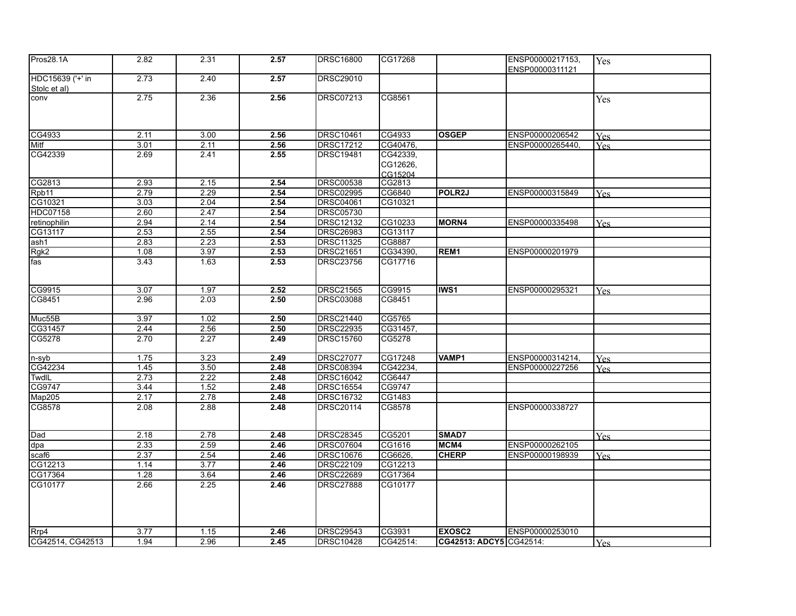| Pros28.1A                        | 2.82 | 2.31              | 2.57 | <b>DRSC16800</b> | CG17268             |                  | ENSP00000217153,<br>ENSP00000311121 | Yes        |
|----------------------------------|------|-------------------|------|------------------|---------------------|------------------|-------------------------------------|------------|
| HDC15639 ('+' in<br>Stolc et al) | 2.73 | 2.40              | 2.57 | <b>DRSC29010</b> |                     |                  |                                     |            |
| conv                             | 2.75 | 2.36              | 2.56 | <b>DRSC07213</b> | CG8561              |                  |                                     | Yes        |
| CG4933                           | 2.11 | 3.00              | 2.56 | <b>DRSC10461</b> | CG4933              | <b>OSGEP</b>     | ENSP00000206542                     | <b>Yes</b> |
| Mitf                             | 3.01 | 2.11              | 2.56 | <b>DRSC17212</b> | CG40476,            |                  | ENSP00000265440,                    | <b>Yes</b> |
| CG42339                          | 2.69 | 2.41              | 2.55 | <b>DRSC19481</b> | CG42339,            |                  |                                     |            |
|                                  |      |                   |      |                  | CG12626,<br>CG15204 |                  |                                     |            |
| CG2813                           | 2.93 | 2.15              | 2.54 | <b>DRSC00538</b> | CG2813              |                  |                                     |            |
| Rpb11                            | 2.79 | 2.29              | 2.54 | <b>DRSC02995</b> | CG6840              | <b>POLR2J</b>    | ENSP00000315849                     | <b>Yes</b> |
| CG10321                          | 3.03 | 2.04              | 2.54 | <b>DRSC04061</b> | CG10321             |                  |                                     |            |
| <b>HDC07158</b>                  | 2.60 | 2.47              | 2.54 | <b>DRSC05730</b> |                     |                  |                                     |            |
| retinophilin                     | 2.94 | 2.14              | 2.54 | <b>DRSC12132</b> | CG10233             | <b>MORN4</b>     | ENSP00000335498                     | <b>Yes</b> |
| CG13117                          | 2.53 | 2.55              | 2.54 | <b>DRSC26983</b> | CG13117             |                  |                                     |            |
| ash1                             | 2.83 | 2.23              | 2.53 | <b>DRSC11325</b> | CG8887              |                  |                                     |            |
| Rgk2                             | 1.08 | 3.97              | 2.53 | <b>DRSC21651</b> | CG34390,            | REM <sub>1</sub> | ENSP00000201979                     |            |
| fas                              | 3.43 | 1.63              | 2.53 | <b>DRSC23756</b> | CG17716             |                  |                                     |            |
| CG9915                           | 3.07 | 1.97              | 2.52 | <b>DRSC21565</b> | CG9915              | <b>IWS1</b>      | ENSP00000295321                     | Yes        |
| CG8451                           | 2.96 | 2.03              | 2.50 | <b>DRSC03088</b> | CG8451              |                  |                                     |            |
| Muc55B                           | 3.97 | 1.02              | 2.50 | <b>DRSC21440</b> | CG5765              |                  |                                     |            |
| CG31457                          | 2.44 | 2.56              | 2.50 | <b>DRSC22935</b> | CG31457,            |                  |                                     |            |
| CG5278                           | 2.70 | 2.27              | 2.49 | <b>DRSC15760</b> | CG5278              |                  |                                     |            |
| n-syb                            | 1.75 | 3.23              | 2.49 | <b>DRSC27077</b> | CG17248             | VAMP1            | ENSP00000314214,                    | <b>Yes</b> |
| CG42234                          | 1.45 | 3.50              | 2.48 | <b>DRSC08394</b> | CG42234,            |                  | ENSP00000227256                     | <b>Yes</b> |
| TwdIL                            | 2.73 | 2.22              | 2.48 | <b>DRSC16042</b> | CG6447              |                  |                                     |            |
| CG9747                           | 3.44 | 1.52              | 2.48 | <b>DRSC16554</b> | CG9747              |                  |                                     |            |
| <b>Map205</b>                    | 2.17 | 2.78              | 2.48 | <b>DRSC16732</b> | CG1483              |                  |                                     |            |
| CG8578                           | 2.08 | 2.88              | 2.48 | <b>DRSC20114</b> | CG8578              |                  | ENSP00000338727                     |            |
| Dad                              | 2.18 | 2.78              | 2.48 | <b>DRSC28345</b> | CG5201              | SMAD7            |                                     | Yes        |
| dpa                              | 2.33 | 2.59              | 2.46 | <b>DRSC07604</b> | CG1616              | MCM4             | ENSP00000262105                     |            |
| scaf6                            | 2.37 | 2.54              | 2.46 | <b>DRSC10676</b> | CG6626,             | CHERP            | ENSP00000198939                     | <b>Yes</b> |
| CG12213                          | 1.14 | 3.77              | 2.46 | <b>DRSC22109</b> | CG12213             |                  |                                     |            |
| CG17364                          | 1.28 | 3.64              | 2.46 | <b>DRSC22689</b> | CG17364             |                  |                                     |            |
| CG10177                          | 2.66 | 2.25              | 2.46 | <b>DRSC27888</b> | CG10177             |                  |                                     |            |
| Rrp4                             | 3.77 | $\overline{1.15}$ | 2.46 | <b>DRSC29543</b> | CG3931              | <b>EXOSC2</b>    | ENSP00000253010                     |            |
| CG42514, CG42513                 | 1.94 | 2.96              | 2.45 | <b>DRSC10428</b> | CG42514:            |                  | CG42513: ADCY5 CG42514:             | Yes        |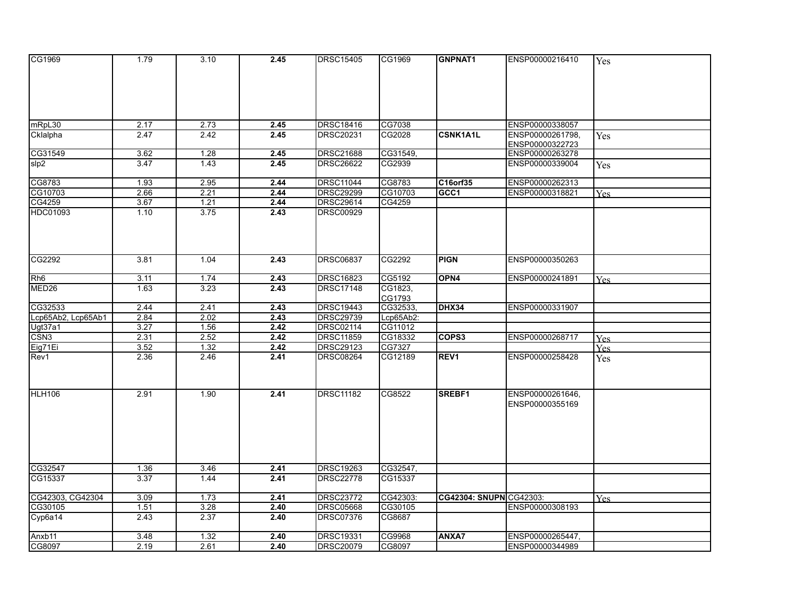| CG1969             | 1.79 | 3.10 | 2.45 | <b>DRSC15405</b> | CG1969             | GNPNAT1                 | ENSP00000216410  | Yes        |
|--------------------|------|------|------|------------------|--------------------|-------------------------|------------------|------------|
|                    |      |      |      |                  |                    |                         |                  |            |
|                    |      |      |      |                  |                    |                         |                  |            |
|                    |      |      |      |                  |                    |                         |                  |            |
|                    |      |      |      |                  |                    |                         |                  |            |
|                    |      |      |      |                  |                    |                         |                  |            |
| mRpL30             | 2.17 | 2.73 | 2.45 | <b>DRSC18416</b> | CG7038             |                         | ENSP00000338057  |            |
| Cklalpha           | 2.47 | 2.42 | 2.45 | DRSC20231        | CG2028             | <b>CSNK1A1L</b>         | ENSP00000261798, | <b>Yes</b> |
|                    |      |      |      |                  |                    |                         | ENSP00000322723  |            |
| CG31549            | 3.62 | 1.28 | 2.45 | <b>DRSC21688</b> | CG31549,           |                         | ENSP00000263278  |            |
| slp2               | 3.47 | 1.43 | 2.45 | <b>DRSC26622</b> | CG2939             |                         | ENSP00000339004  | Yes        |
| CG8783             | 1.93 | 2.95 | 2.44 | <b>DRSC11044</b> | CG8783             | C16orf35                | ENSP00000262313  |            |
| CG10703            | 2.66 | 2.21 | 2.44 | <b>DRSC29299</b> | CG10703            | GCC1                    | ENSP00000318821  |            |
| CG4259             | 3.67 | 1.21 | 2.44 | DRSC29614        | CG4259             |                         |                  | Yes.       |
| HDC01093           | 1.10 | 3.75 | 2.43 | <b>DRSC00929</b> |                    |                         |                  |            |
|                    |      |      |      |                  |                    |                         |                  |            |
|                    |      |      |      |                  |                    |                         |                  |            |
|                    |      |      |      |                  |                    |                         |                  |            |
|                    |      |      |      |                  |                    |                         |                  |            |
| CG2292             | 3.81 | 1.04 | 2.43 | <b>DRSC06837</b> | CG2292             | <b>PIGN</b>             | ENSP00000350263  |            |
|                    |      |      |      |                  |                    |                         |                  |            |
| Rh6                | 3.11 | 1.74 | 2.43 | <b>DRSC16823</b> | CG5192             | OPN4                    | ENSP00000241891  | Yes        |
| MED26              | 1.63 | 3.23 | 2.43 | <b>DRSC17148</b> | CG1823,            |                         |                  |            |
| CG32533            | 2.44 | 2.41 | 2.43 | <b>DRSC19443</b> | CG1793<br>CG32533, | <b>DHX34</b>            | ENSP00000331907  |            |
| Lcp65Ab2, Lcp65Ab1 | 2.84 | 2.02 | 2.43 | <b>DRSC29739</b> | Lcp65Ab2:          |                         |                  |            |
| Ugt37a1            | 3.27 | 1.56 | 2.42 | <b>DRSC02114</b> | CG11012            |                         |                  |            |
| CSN3               | 2.31 | 2.52 | 2.42 | <b>DRSC11859</b> | CG18332            | COPS3                   | ENSP00000268717  | <b>Yes</b> |
| Eig71Ei            | 3.52 | 1.32 | 2.42 | <b>DRSC29123</b> | CG7327             |                         |                  | Yes.       |
| Rev1               | 2.36 | 2.46 | 2.41 | <b>DRSC08264</b> | CG12189            | REV <sub>1</sub>        | ENSP00000258428  | Yes        |
|                    |      |      |      |                  |                    |                         |                  |            |
|                    |      |      |      |                  |                    |                         |                  |            |
|                    |      |      |      |                  |                    |                         |                  |            |
| HLH106             | 2.91 | 1.90 | 2.41 | <b>DRSC11182</b> | CG8522             | SREBF1                  | ENSP00000261646, |            |
|                    |      |      |      |                  |                    |                         | ENSP00000355169  |            |
|                    |      |      |      |                  |                    |                         |                  |            |
|                    |      |      |      |                  |                    |                         |                  |            |
|                    |      |      |      |                  |                    |                         |                  |            |
|                    |      |      |      |                  |                    |                         |                  |            |
|                    |      |      |      |                  |                    |                         |                  |            |
| CG32547            | 1.36 | 3.46 | 2.41 | <b>DRSC19263</b> | CG32547,           |                         |                  |            |
| CG15337            | 3.37 | 1.44 | 2.41 | <b>DRSC22778</b> | CG15337            |                         |                  |            |
|                    |      |      |      |                  |                    |                         |                  |            |
| CG42303, CG42304   | 3.09 | 1.73 | 2.41 | <b>DRSC23772</b> | CG42303:           | CG42304: SNUPN CG42303: |                  | Yes        |
| CG30105            | 1.51 | 3.28 | 2.40 | <b>DRSC05668</b> | CG30105            |                         | ENSP00000308193  |            |
| Cyp6a14            | 2.43 | 2.37 | 2.40 | <b>DRSC07376</b> | CG8687             |                         |                  |            |
| Anxb11             | 3.48 | 1.32 | 2.40 | <b>DRSC19331</b> | CG9968             | <b>ANXA7</b>            | ENSP00000265447, |            |
| CG8097             | 2.19 | 2.61 | 2.40 | <b>DRSC20079</b> | CG8097             |                         | ENSP00000344989  |            |
|                    |      |      |      |                  |                    |                         |                  |            |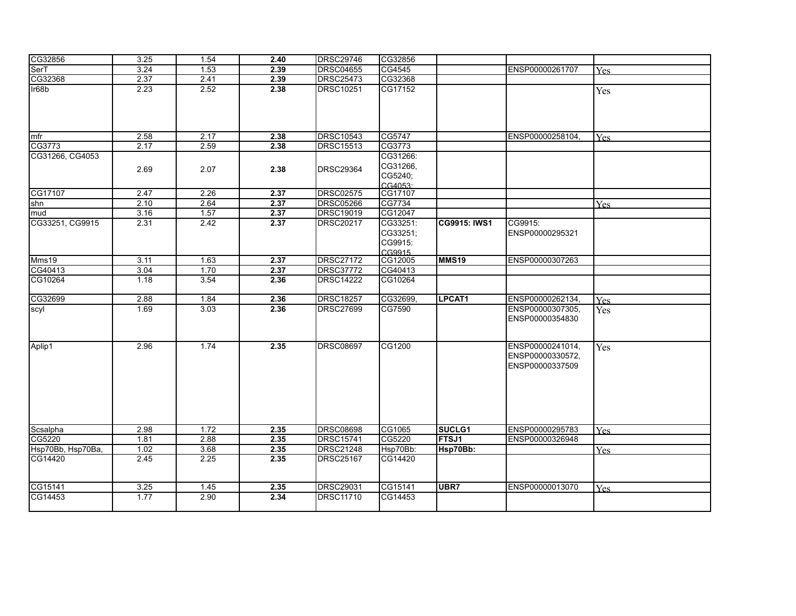| CG32856           | 3.25 | 1.54 | 2.40 | <b>DRSC29746</b> | CG32856                                    |               |                                                         |            |
|-------------------|------|------|------|------------------|--------------------------------------------|---------------|---------------------------------------------------------|------------|
| SerT              | 3.24 | 1.53 | 2.39 | <b>DRSC04655</b> | CG4545                                     |               | ENSP00000261707                                         | <b>Yes</b> |
| CG32368           | 2.37 | 2.41 | 2.39 | <b>DRSC25473</b> | CG32368                                    |               |                                                         |            |
| $l$ r68b          | 2.23 | 2.52 | 2.38 | <b>DRSC10251</b> | CG17152                                    |               |                                                         | Yes        |
| mfr               | 2.58 | 2.17 | 2.38 | <b>DRSC10543</b> | CG5747                                     |               | ENSP00000258104,                                        | Yes        |
| CG3773            | 2.17 | 2.59 | 2.38 | <b>DRSC15513</b> | CG3773                                     |               |                                                         |            |
| CG31266, CG4053   | 2.69 | 2.07 | 2.38 | <b>DRSC29364</b> | CG31266:<br>CG31266,<br>CG5240;<br>CG4053: |               |                                                         |            |
| CG17107           | 2.47 | 2.26 | 2.37 | <b>DRSC02575</b> | CG17107                                    |               |                                                         |            |
| shn               | 2.10 | 2.64 | 2.37 | <b>DRSC05266</b> | CG7734                                     |               |                                                         | <b>Yes</b> |
| mud               | 3.16 | 1.57 | 2.37 | <b>DRSC19019</b> | CG12047                                    |               |                                                         |            |
| CG33251, CG9915   | 2.31 | 2.42 | 2.37 | <b>DRSC20217</b> | CG33251:<br>CG33251;<br>CG9915:<br>CG9915  | CG9915: IWS1  | CG9915:<br>ENSP00000295321                              |            |
| Mms19             | 3.11 | 1.63 | 2.37 | <b>DRSC27172</b> | CG12005                                    | MMS19         | ENSP00000307263                                         |            |
| CG40413           | 3.04 | 1.70 | 2.37 | <b>DRSC37772</b> | CG40413                                    |               |                                                         |            |
| CG10264           | 1.18 | 3.54 | 2.36 | <b>DRSC14222</b> | CG10264                                    |               |                                                         |            |
| CG32699           | 2.88 | 1.84 | 2.36 | <b>DRSC18257</b> | CG32699,                                   | <b>LPCAT1</b> | ENSP00000262134.                                        | Yes        |
| scyl              | 1.69 | 3.03 | 2.36 | <b>DRSC27699</b> | CG7590                                     |               | ENSP00000307305,<br>ENSP00000354830                     | Yes        |
| Aplip1            | 2.96 | 1.74 | 2.35 | <b>DRSC08697</b> | CG1200                                     |               | ENSP00000241014,<br>ENSP00000330572,<br>ENSP00000337509 | Yes        |
| Scsalpha          | 2.98 | 1.72 | 2.35 | <b>DRSC08698</b> | CG1065                                     | <b>SUCLG1</b> | ENSP00000295783                                         | Yes        |
| CG5220            | 1.81 | 2.88 | 2.35 | <b>DRSC15741</b> | CG5220                                     | <b>FTSJ1</b>  | ENSP00000326948                                         |            |
| Hsp70Bb, Hsp70Ba, | 1.02 | 3.68 | 2.35 | <b>DRSC21248</b> | Hsp70Bb:                                   | Hsp70Bb:      |                                                         | <b>Yes</b> |
| CG14420           | 2.45 | 2.25 | 2.35 | <b>DRSC25167</b> | CG14420                                    |               |                                                         |            |
| CG15141           | 3.25 | 1.45 | 2.35 | <b>DRSC29031</b> | CG15141                                    | UBR7          | ENSP00000013070                                         | Yes        |
| CG14453           | 1.77 | 2.90 | 2.34 | <b>DRSC11710</b> | CG14453                                    |               |                                                         |            |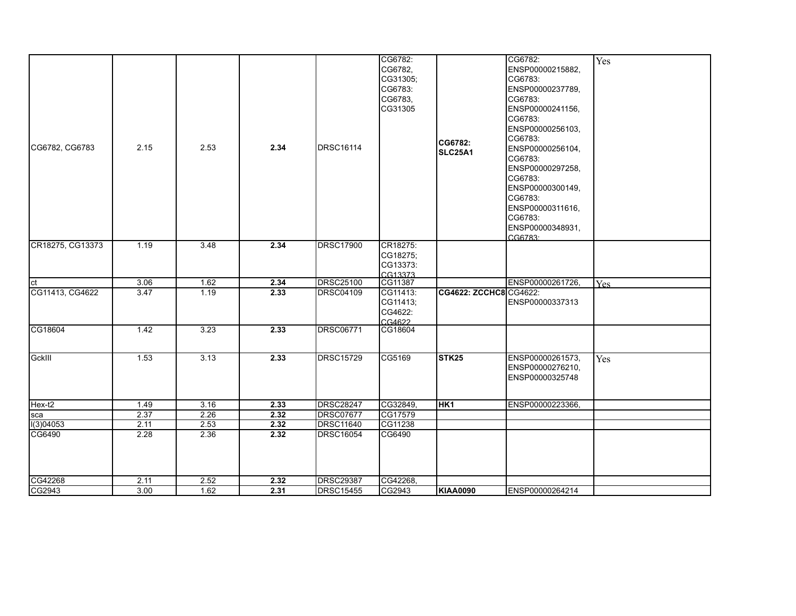| CG6782, CG6783<br>CR18275, CG13373 | 2.15<br>1.19 | 2.53<br>3.48 | 2.34<br>2.34 | DRSC16114<br><b>DRSC17900</b> | CG6782:<br>CG6782,<br>CG31305;<br>CG6783:<br>CG6783,<br>CG31305<br>CR18275:<br>CG18275; | CG6782:<br>SLC25A1     | CG6782:<br>ENSP00000215882.<br>CG6783:<br>ENSP00000237789,<br>CG6783:<br>ENSP00000241156,<br>CG6783:<br>ENSP00000256103,<br>CG6783:<br>ENSP00000256104,<br>CG6783:<br>ENSP00000297258,<br>CG6783:<br>ENSP00000300149.<br>CG6783:<br>ENSP00000311616,<br>CG6783:<br>ENSP00000348931,<br>CG6783: | Yes        |
|------------------------------------|--------------|--------------|--------------|-------------------------------|-----------------------------------------------------------------------------------------|------------------------|------------------------------------------------------------------------------------------------------------------------------------------------------------------------------------------------------------------------------------------------------------------------------------------------|------------|
|                                    |              |              |              |                               | CG13373:<br>CG13373                                                                     |                        |                                                                                                                                                                                                                                                                                                |            |
| <b>ct</b>                          | 3.06         | 1.62         | 2.34         | <b>DRSC25100</b>              | CG11387                                                                                 |                        | ENSP00000261726,                                                                                                                                                                                                                                                                               | <b>Yes</b> |
| CG11413, CG4622                    | 3.47         | 1.19         | 2.33         | <b>DRSC04109</b>              | CG11413:<br>CG11413;<br>CG4622:<br>CG4622                                               | CG4622: ZCCHC8 CG4622: | ENSP00000337313                                                                                                                                                                                                                                                                                |            |
| CG18604                            | 1.42         | 3.23         | 2.33         | <b>DRSC06771</b>              | CG18604                                                                                 |                        |                                                                                                                                                                                                                                                                                                |            |
| GckIII                             | 1.53         | 3.13         | 2.33         | DRSC15729                     | CG5169                                                                                  | <b>STK25</b>           | ENSP00000261573.<br>ENSP00000276210,<br>ENSP00000325748                                                                                                                                                                                                                                        | Yes        |
| Hex-t2                             | 1.49         | 3.16         | 2.33         | DRSC28247                     | CG32849.                                                                                | <b>HK1</b>             | ENSP00000223366,                                                                                                                                                                                                                                                                               |            |
| sca                                | 2.37         | 2.26         | 2.32         | <b>DRSC07677</b>              | CG17579                                                                                 |                        |                                                                                                                                                                                                                                                                                                |            |
| 1(3)04053                          | 2.11         | 2.53         | 2.32         | <b>DRSC11640</b>              | CG11238                                                                                 |                        |                                                                                                                                                                                                                                                                                                |            |
| CG6490                             | 2.28         | 2.36         | 2.32         | <b>DRSC16054</b>              | CG6490                                                                                  |                        |                                                                                                                                                                                                                                                                                                |            |
| CG42268                            | 2.11         | 2.52         | 2.32         | <b>DRSC29387</b>              | CG42268,                                                                                |                        |                                                                                                                                                                                                                                                                                                |            |
| CG2943                             | 3.00         | 1.62         | 2.31         | <b>DRSC15455</b>              | CG2943                                                                                  | <b>KIAA0090</b>        | ENSP00000264214                                                                                                                                                                                                                                                                                |            |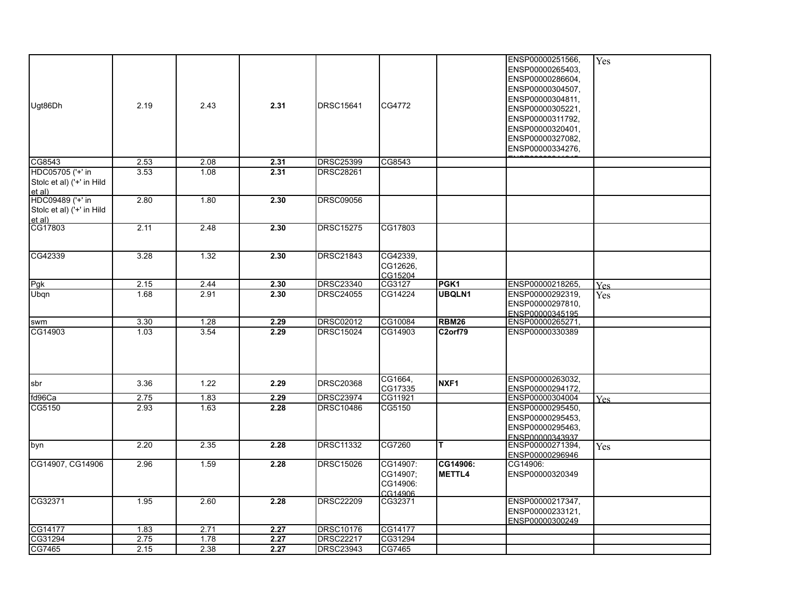| Ugt86Dh                                                 | 2.19 | 2.43 | 2.31 | <b>DRSC15641</b> | CG4772                                      |                           | ENSP00000251566,<br>ENSP00000265403.<br>ENSP00000286604,<br>ENSP00000304507,<br>ENSP00000304811,<br>ENSP00000305221,<br>ENSP00000311792,<br>ENSP00000320401,<br>ENSP00000327082,<br>ENSP00000334276, | Yes        |
|---------------------------------------------------------|------|------|------|------------------|---------------------------------------------|---------------------------|------------------------------------------------------------------------------------------------------------------------------------------------------------------------------------------------------|------------|
| CG8543                                                  | 2.53 | 2.08 | 2.31 | <b>DRSC25399</b> | CG8543                                      |                           |                                                                                                                                                                                                      |            |
| HDC05705 ('+' in<br>Stolc et al) ('+' in Hild<br>et al) | 3.53 | 1.08 | 2.31 | <b>DRSC28261</b> |                                             |                           |                                                                                                                                                                                                      |            |
| HDC09489 ('+' in<br>Stolc et al) ('+' in Hild<br>et al) | 2.80 | 1.80 | 2.30 | <b>DRSC09056</b> |                                             |                           |                                                                                                                                                                                                      |            |
| CG17803                                                 | 2.11 | 2.48 | 2.30 | <b>DRSC15275</b> | CG17803                                     |                           |                                                                                                                                                                                                      |            |
| CG42339                                                 | 3.28 | 1.32 | 2.30 | <b>DRSC21843</b> | CG42339,<br>CG12626,<br>CG15204             |                           |                                                                                                                                                                                                      |            |
| Pgk                                                     | 2.15 | 2.44 | 2.30 | <b>DRSC23340</b> | CG3127                                      | PGK <sub>1</sub>          | ENSP00000218265,                                                                                                                                                                                     | <b>Yes</b> |
| Ubqn                                                    | 1.68 | 2.91 | 2.30 | <b>DRSC24055</b> | CG14224                                     | <b>UBQLN1</b>             | ENSP00000292319,<br>ENSP00000297810,<br>ENSP00000345195                                                                                                                                              | Yes        |
| swm                                                     | 3.30 | 1.28 | 2.29 | <b>DRSC02012</b> | CG10084                                     | <b>RBM26</b>              | ENSP00000265271,                                                                                                                                                                                     |            |
| CG14903                                                 | 1.03 | 3.54 | 2.29 | <b>DRSC15024</b> | CG14903                                     | C2orf79                   | ENSP00000330389                                                                                                                                                                                      |            |
| sbr                                                     | 3.36 | 1.22 | 2.29 | <b>DRSC20368</b> | CG1664,<br>CG17335                          | NXF1                      | ENSP00000263032,<br>ENSP00000294172.                                                                                                                                                                 |            |
| fd96Ca                                                  | 2.75 | 1.83 | 2.29 | <b>DRSC23974</b> | CG11921                                     |                           | ENSP00000304004                                                                                                                                                                                      | <b>Yes</b> |
| CG5150                                                  | 2.93 | 1.63 | 2.28 | <b>DRSC10486</b> | CG5150                                      |                           | ENSP00000295450,<br>ENSP00000295453,<br>ENSP00000295463,<br>ENSP00000343937                                                                                                                          |            |
| byn                                                     | 2.20 | 2.35 | 2.28 | <b>DRSC11332</b> | CG7260                                      | T.                        | ENSP00000271394,<br>ENSP00000296946                                                                                                                                                                  | Yes        |
| CG14907, CG14906                                        | 2.96 | 1.59 | 2.28 | <b>DRSC15026</b> | CG14907:<br>CG14907;<br>CG14906:<br>CG14906 | CG14906:<br><b>METTL4</b> | CG14906:<br>ENSP00000320349                                                                                                                                                                          |            |
| CG32371                                                 | 1.95 | 2.60 | 2.28 | <b>DRSC22209</b> | CG32371                                     |                           | ENSP00000217347,<br>ENSP00000233121,<br>ENSP00000300249                                                                                                                                              |            |
| CG14177                                                 | 1.83 | 2.71 | 2.27 | <b>DRSC10176</b> | CG14177                                     |                           |                                                                                                                                                                                                      |            |
| CG31294                                                 | 2.75 | 1.78 | 2.27 | <b>DRSC22217</b> | CG31294                                     |                           |                                                                                                                                                                                                      |            |
| CG7465                                                  | 2.15 | 2.38 | 2.27 | <b>DRSC23943</b> | CG7465                                      |                           |                                                                                                                                                                                                      |            |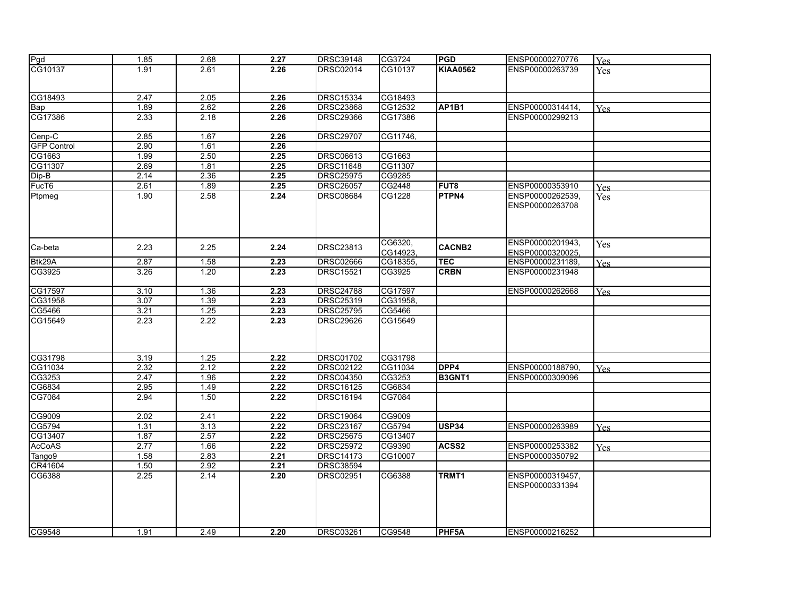| <b>Pgd</b>         | 1.85 | 2.68 | 2.27 | <b>DRSC39148</b> | CG3724   | <b>PGD</b>                     | ENSP00000270776  | Yes        |
|--------------------|------|------|------|------------------|----------|--------------------------------|------------------|------------|
| CG10137            | 1.91 | 2.61 | 2.26 | DRSC02014        | CG10137  | <b>KIAA0562</b>                | ENSP00000263739  | Yes        |
|                    |      |      |      |                  |          |                                |                  |            |
|                    |      |      |      |                  |          |                                |                  |            |
| CG18493            | 2.47 | 2.05 | 2.26 | <b>DRSC15334</b> | CG18493  |                                |                  |            |
| Bap                | 1.89 | 2.62 | 2.26 | <b>DRSC23868</b> | CG12532  | AP <sub>1</sub> B <sub>1</sub> | ENSP00000314414, | Yes        |
| CG17386            | 2.33 | 2.18 | 2.26 | <b>DRSC29366</b> | CG17386  |                                | ENSP00000299213  |            |
|                    |      |      |      |                  |          |                                |                  |            |
| Cenp-C             | 2.85 | 1.67 | 2.26 | <b>DRSC29707</b> | CG11746, |                                |                  |            |
| <b>GFP Control</b> | 2.90 | 1.61 | 2.26 |                  |          |                                |                  |            |
| CG1663             | 1.99 | 2.50 | 2.25 | <b>DRSC06613</b> | CG1663   |                                |                  |            |
| CG11307            | 2.69 | 1.81 | 2.25 | <b>DRSC11648</b> | CG11307  |                                |                  |            |
| Dip-B              | 2.14 | 2.36 | 2.25 | <b>DRSC25975</b> | CG9285   |                                |                  |            |
| FucT6              | 2.61 | 1.89 | 2.25 | <b>DRSC26057</b> | CG2448   | FUT <sub>8</sub>               | ENSP00000353910  | <b>Yes</b> |
| Ptpmeg             | 1.90 | 2.58 | 2.24 | <b>DRSC08684</b> | CG1228   | <b>PTPN4</b>                   | ENSP00000262539. | Yes        |
|                    |      |      |      |                  |          |                                | ENSP00000263708  |            |
|                    |      |      |      |                  |          |                                |                  |            |
|                    |      |      |      |                  |          |                                |                  |            |
|                    |      |      |      |                  |          |                                |                  |            |
|                    |      |      |      |                  | CG6320,  |                                | ENSP00000201943, | Yes        |
| Ca-beta            | 2.23 | 2.25 | 2.24 | <b>DRSC23813</b> | CG14923, | <b>CACNB2</b>                  | ENSP00000320025. |            |
| Btk29A             | 2.87 | 1.58 | 2.23 | <b>DRSC02666</b> | CG18355, | <b>TEC</b>                     | ENSP00000231189, |            |
| CG3925             | 3.26 | 1.20 | 2.23 | <b>DRSC15521</b> | CG3925   | <b>CRBN</b>                    | ENSP00000231948  | <b>Yes</b> |
|                    |      |      |      |                  |          |                                |                  |            |
| CG17597            | 3.10 | 1.36 | 2.23 | <b>DRSC24788</b> | CG17597  |                                | ENSP00000262668  | Yes        |
| CG31958            | 3.07 | 1.39 | 2.23 | <b>DRSC25319</b> | CG31958, |                                |                  |            |
| CG5466             | 3.21 | 1.25 | 2.23 | <b>DRSC25795</b> | CG5466   |                                |                  |            |
|                    |      | 2.22 |      |                  |          |                                |                  |            |
| CG15649            | 2.23 |      | 2.23 | <b>DRSC29626</b> | CG15649  |                                |                  |            |
|                    |      |      |      |                  |          |                                |                  |            |
|                    |      |      |      |                  |          |                                |                  |            |
| CG31798            | 3.19 | 1.25 | 2.22 | <b>DRSC01702</b> | CG31798  |                                |                  |            |
| CG11034            | 2.32 | 2.12 | 2.22 | <b>DRSC02122</b> | CG11034  | DPP4                           | ENSP00000188790. |            |
|                    | 2.47 |      | 2.22 |                  | CG3253   | B3GNT1                         | ENSP00000309096  | <b>Yes</b> |
| CG3253             |      | 1.96 |      | <b>DRSC04350</b> |          |                                |                  |            |
| CG6834             | 2.95 | 1.49 | 2.22 | <b>DRSC16125</b> | CG6834   |                                |                  |            |
| CG7084             | 2.94 | 1.50 | 2.22 | <b>DRSC16194</b> | CG7084   |                                |                  |            |
|                    |      |      |      |                  |          |                                |                  |            |
| CG9009             | 2.02 | 2.41 | 2.22 | <b>DRSC19064</b> | CG9009   |                                |                  |            |
| CG5794             | 1.31 | 3.13 | 2.22 | <b>DRSC23167</b> | CG5794   | USP34                          | ENSP00000263989  | Yes        |
| CG13407            | 1.87 | 2.57 | 2.22 | <b>DRSC25675</b> | CG13407  |                                |                  |            |
| <b>AcCoAS</b>      | 2.77 | 1.66 | 2.22 | <b>DRSC25972</b> | CG9390   | ACSS <sub>2</sub>              | ENSP00000253382  | Yes        |
| Tango9             | 1.58 | 2.83 | 2.21 | <b>DRSC14173</b> | CG10007  |                                | ENSP00000350792  |            |
| CR41604            | 1.50 | 2.92 | 2.21 | <b>DRSC38594</b> |          |                                |                  |            |
| CG6388             | 2.25 | 2.14 | 2.20 | DRSC02951        | CG6388   | TRMT1                          | ENSP00000319457, |            |
|                    |      |      |      |                  |          |                                | ENSP00000331394  |            |
|                    |      |      |      |                  |          |                                |                  |            |
|                    |      |      |      |                  |          |                                |                  |            |
|                    |      |      |      |                  |          |                                |                  |            |
|                    |      |      |      |                  |          |                                |                  |            |
| CG9548             | 1.91 | 2.49 | 2.20 | <b>DRSC03261</b> | CG9548   | PHF5A                          | ENSP00000216252  |            |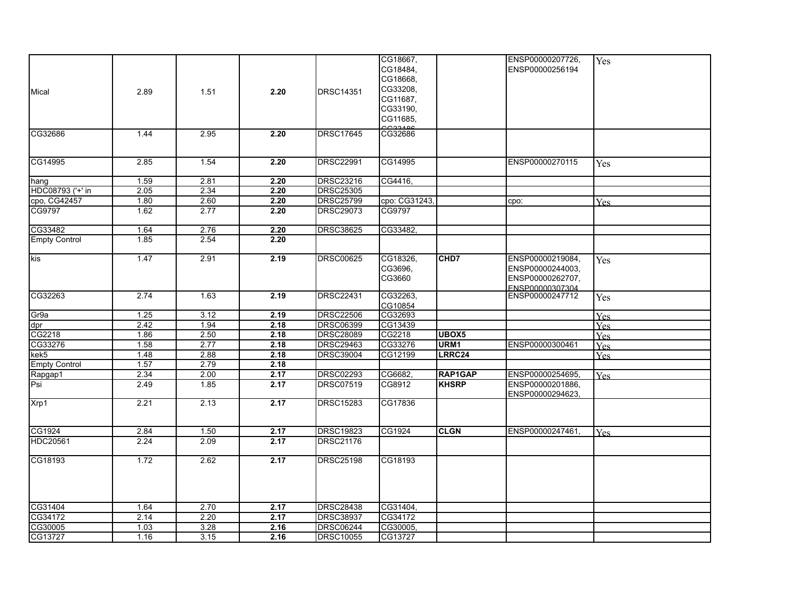|                      |        |      |      |                  | CG18667,<br>CG18484,<br>CG18668,             |                   | ENSP00000207726,<br>ENSP00000256194                                         | Yes        |
|----------------------|--------|------|------|------------------|----------------------------------------------|-------------------|-----------------------------------------------------------------------------|------------|
| Mical                | 2.89   | 1.51 | 2.20 | <b>DRSC14351</b> | CG33208,<br>CG11687,<br>CG33190,<br>CG11685, |                   |                                                                             |            |
| CG32686              | 1.44   | 2.95 | 2.20 | <b>DRSC17645</b> | CG32686                                      |                   |                                                                             |            |
| CG14995              | 2.85   | 1.54 | 2.20 | DRSC22991        | CG14995                                      |                   | ENSP00000270115                                                             | Yes        |
| hang                 | 1.59   | 2.81 | 2.20 | <b>DRSC23216</b> | CG4416,                                      |                   |                                                                             |            |
| HDC08793 ('+' in     | 2.05   | 2.34 | 2.20 | <b>DRSC25305</b> |                                              |                   |                                                                             |            |
| cpo, CG42457         | 1.80   | 2.60 | 2.20 | <b>DRSC25799</b> | cpo: CG31243,                                |                   | cpo:                                                                        | <b>Yes</b> |
| CG9797               | 1.62   | 2.77 | 2.20 | <b>DRSC29073</b> | CG9797                                       |                   |                                                                             |            |
| CG33482              | 1.64   | 2.76 | 2.20 | <b>DRSC38625</b> | CG33482,                                     |                   |                                                                             |            |
| <b>Empty Control</b> | 1.85   | 2.54 | 2.20 |                  |                                              |                   |                                                                             |            |
| <b>kis</b>           | 1.47   | 2.91 | 2.19 | <b>DRSC00625</b> | CG18326,<br>CG3696.<br>CG3660                | CHD7              | ENSP00000219084,<br>ENSP00000244003,<br>ENSP00000262707,<br>ENSP00000307304 | Yes        |
| CG32263              | 2.74   | 1.63 | 2.19 | <b>DRSC22431</b> | CG32263,<br>CG10854                          |                   | ENSP00000247712                                                             | Yes        |
| Gr9a                 | $1.25$ | 3.12 | 2.19 | <b>DRSC22506</b> | CG32693                                      |                   |                                                                             | <b>Yes</b> |
| dpr                  | 2.42   | 1.94 | 2.18 | <b>DRSC06399</b> | CG13439                                      |                   |                                                                             | Yes        |
| CG2218               | 1.86   | 2.50 | 2.18 | <b>DRSC28089</b> | CG2218                                       | UBOX <sub>5</sub> |                                                                             | Yes        |
| CG33276              | 1.58   | 2.77 | 2.18 | <b>DRSC29463</b> | CG33276                                      | URM <sub>1</sub>  | ENSP00000300461                                                             | Yes        |
| kek5                 | 1.48   | 2.88 | 2.18 | <b>DRSC39004</b> | CG12199                                      | LRRC24            |                                                                             | <b>Yes</b> |
| <b>Empty Control</b> | 1.57   | 2.79 | 2.18 |                  |                                              |                   |                                                                             |            |
| Rapgap1              | 2.34   | 2.00 | 2.17 | <b>DRSC02293</b> | CG6682.                                      | <b>RAP1GAP</b>    | ENSP00000254695,                                                            | <b>Yes</b> |
| Psi.                 | 2.49   | 1.85 | 2.17 | <b>DRSC07519</b> | CG8912                                       | <b>KHSRP</b>      | ENSP00000201886,<br>ENSP00000294623,                                        |            |
| Xrp1                 | 2.21   | 2.13 | 2.17 | <b>DRSC15283</b> | CG17836                                      |                   |                                                                             |            |
| CG1924               | 2.84   | 1.50 | 2.17 | <b>DRSC19823</b> | CG1924                                       | <b>CLGN</b>       | ENSP00000247461,                                                            | Yes        |
| <b>HDC20561</b>      | 2.24   | 2.09 | 2.17 | <b>DRSC21176</b> |                                              |                   |                                                                             |            |
| CG18193              | 1.72   | 2.62 | 2.17 | <b>DRSC25198</b> | CG18193                                      |                   |                                                                             |            |
| CG31404              | 1.64   | 2.70 | 2.17 | <b>DRSC28438</b> | CG31404,                                     |                   |                                                                             |            |
| CG34172              | 2.14   | 2.20 | 2.17 | <b>DRSC38937</b> | CG34172                                      |                   |                                                                             |            |
| CG30005              | 1.03   | 3.28 | 2.16 | <b>DRSC06244</b> | CG30005,                                     |                   |                                                                             |            |
| CG13727              | 1.16   | 3.15 | 2.16 | <b>DRSC10055</b> | CG13727                                      |                   |                                                                             |            |
|                      |        |      |      |                  |                                              |                   |                                                                             |            |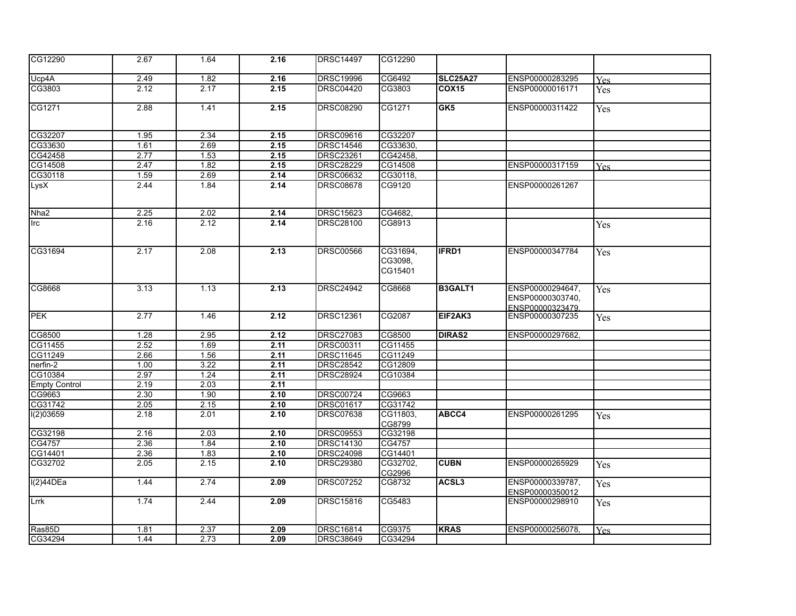| CG12290              | 2.67 | 1.64 | 2.16 | <b>DRSC14497</b> | CG12290                        |                 |                                                          |            |
|----------------------|------|------|------|------------------|--------------------------------|-----------------|----------------------------------------------------------|------------|
| Ucp4A                | 2.49 | 1.82 | 2.16 | <b>DRSC19996</b> | CG6492                         | <b>SLC25A27</b> | ENSP00000283295                                          | <b>Yes</b> |
| CG3803               | 2.12 | 2.17 | 2.15 | <b>DRSC04420</b> | CG3803                         | COX15           | ENSP00000016171                                          | Yes        |
| CG1271               | 2.88 | 1.41 | 2.15 | <b>DRSC08290</b> | CG1271                         | GK5             | ENSP00000311422                                          | Yes        |
| CG32207              | 1.95 | 2.34 | 2.15 | <b>DRSC09616</b> | CG32207                        |                 |                                                          |            |
| CG33630              | 1.61 | 2.69 | 2.15 | <b>DRSC14546</b> | CG33630,                       |                 |                                                          |            |
| CG42458              | 2.77 | 1.53 | 2.15 | <b>DRSC23261</b> | CG42458,                       |                 |                                                          |            |
| CG14508              | 2.47 | 1.82 | 2.15 | <b>DRSC28229</b> | CG14508                        |                 | ENSP00000317159                                          | Yes.       |
| CG30118              | 1.59 | 2.69 | 2.14 | <b>DRSC06632</b> | CG30118,                       |                 |                                                          |            |
| LysX                 | 2.44 | 1.84 | 2.14 | <b>DRSC08678</b> | CG9120                         |                 | ENSP00000261267                                          |            |
| Nha <sub>2</sub>     | 2.25 | 2.02 | 2.14 | <b>DRSC15623</b> | CG4682,                        |                 |                                                          |            |
| Irc                  | 2.16 | 2.12 | 2.14 | DRSC28100        | CG8913                         |                 |                                                          | Yes        |
| CG31694              | 2.17 | 2.08 | 2.13 | <b>DRSC00566</b> | CG31694,<br>CG3098,<br>CG15401 | IFRD1           | ENSP00000347784                                          | Yes        |
| CG8668               | 3.13 | 1.13 | 2.13 | <b>DRSC24942</b> | CG8668                         | B3GALT1         | ENSP00000294647,<br>ENSP00000303740,<br>ENSP00000323479. | Yes        |
| <b>PEK</b>           | 2.77 | 1.46 | 2.12 | <b>DRSC12361</b> | CG2087                         | EIF2AK3         | ENSP00000307235                                          | Yes        |
| CG8500               | 1.28 | 2.95 | 2.12 | <b>DRSC27083</b> | CG8500                         | <b>DIRAS2</b>   | ENSP00000297682,                                         |            |
| CG11455              | 2.52 | 1.69 | 2.11 | <b>DRSC00311</b> | CG11455                        |                 |                                                          |            |
| CG11249              | 2.66 | 1.56 | 2.11 | <b>DRSC11645</b> | CG11249                        |                 |                                                          |            |
| nerfin-2             | 1.00 | 3.22 | 2.11 | <b>DRSC28542</b> | CG12809                        |                 |                                                          |            |
| CG10384              | 2.97 | 1.24 | 2.11 | <b>DRSC28924</b> | CG10384                        |                 |                                                          |            |
| <b>Empty Control</b> | 2.19 | 2.03 | 2.11 |                  |                                |                 |                                                          |            |
| CG9663               | 2.30 | 1.90 | 2.10 | <b>DRSC00724</b> | CG9663                         |                 |                                                          |            |
| CG31742              | 2.05 | 2.15 | 2.10 | <b>DRSC01617</b> | CG31742                        |                 |                                                          |            |
| I(2)03659            | 2.18 | 2.01 | 2.10 | <b>DRSC07638</b> | CG11803,<br>CG8799             | ABCC4           | ENSP00000261295                                          | Yes        |
| CG32198              | 2.16 | 2.03 | 2.10 | <b>DRSC09553</b> | CG32198                        |                 |                                                          |            |
| CG4757               | 2.36 | 1.84 | 2.10 | DRSC14130        | CG4757                         |                 |                                                          |            |
| CG14401              | 2.36 | 1.83 | 2.10 | <b>DRSC24098</b> | CG14401                        |                 |                                                          |            |
| CG32702              | 2.05 | 2.15 | 2.10 | <b>DRSC29380</b> | CG32702,<br>CG2996             | <b>CUBN</b>     | ENSP00000265929                                          | <b>Yes</b> |
| I(2)44DEa            | 1.44 | 2.74 | 2.09 | <b>DRSC07252</b> | CG8732                         | ACSL3           | ENSP00000339787,<br>ENSP00000350012                      | Yes        |
| Lrrk                 | 1.74 | 2.44 | 2.09 | <b>DRSC15816</b> | CG5483                         |                 | ENSP00000298910                                          | Yes        |
| Ras85D               | 1.81 | 2.37 | 2.09 | <b>DRSC16814</b> | CG9375                         | <b>KRAS</b>     | ENSP00000256078,                                         | <b>Yes</b> |
| CG34294              | 1.44 | 2.73 | 2.09 | <b>DRSC38649</b> | CG34294                        |                 |                                                          |            |
|                      |      |      |      |                  |                                |                 |                                                          |            |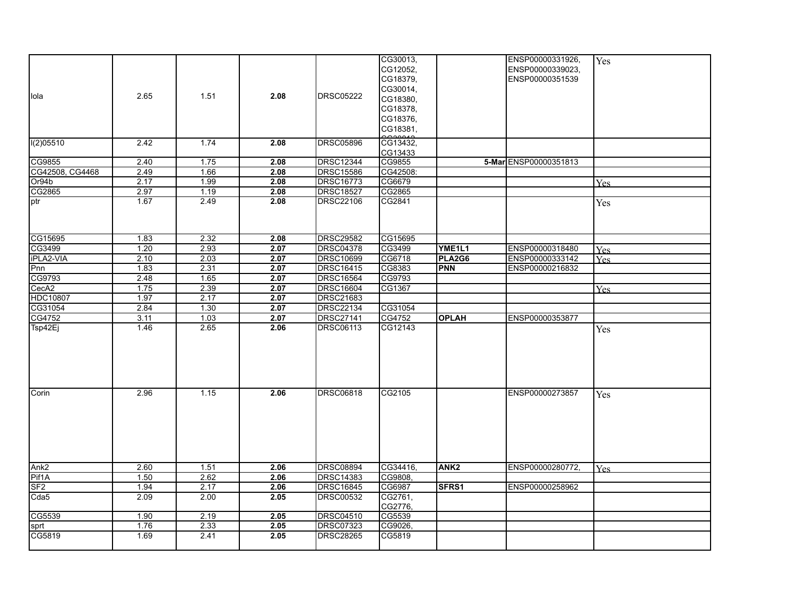|                  |      |      |      |                  | CG30013, |                  | ENSP00000331926,      | Yes        |
|------------------|------|------|------|------------------|----------|------------------|-----------------------|------------|
|                  |      |      |      |                  | CG12052, |                  | ENSP00000339023,      |            |
|                  |      |      |      |                  | CG18379, |                  | ENSP00000351539       |            |
|                  |      |      |      |                  | CG30014, |                  |                       |            |
| llola            | 2.65 | 1.51 | 2.08 | <b>DRSC05222</b> | CG18380, |                  |                       |            |
|                  |      |      |      |                  | CG18378, |                  |                       |            |
|                  |      |      |      |                  | CG18376, |                  |                       |            |
|                  |      |      |      |                  | CG18381, |                  |                       |            |
|                  |      |      |      |                  |          |                  |                       |            |
| I(2)05510        | 2.42 | 1.74 | 2.08 | <b>DRSC05896</b> | CG13432, |                  |                       |            |
|                  |      |      |      |                  | CG13433  |                  |                       |            |
| CG9855           | 2.40 | 1.75 | 2.08 | <b>DRSC12344</b> | CG9855   |                  | 5-MarlENSP00000351813 |            |
| CG42508, CG4468  | 2.49 | 1.66 | 2.08 | <b>DRSC15586</b> | CG42508: |                  |                       |            |
| Or94b            | 2.17 | 1.99 | 2.08 | <b>DRSC16773</b> | CG6679   |                  |                       | <b>Yes</b> |
| CG2865           | 2.97 | 1.19 | 2.08 | <b>DRSC18527</b> | CG2865   |                  |                       |            |
| ptr              | 1.67 | 2.49 | 2.08 | <b>DRSC22106</b> | CG2841   |                  |                       | Yes        |
|                  |      |      |      |                  |          |                  |                       |            |
|                  |      |      |      |                  |          |                  |                       |            |
|                  |      |      |      |                  |          |                  |                       |            |
| CG15695          | 1.83 | 2.32 | 2.08 | <b>DRSC29582</b> | CG15695  |                  |                       |            |
| CG3499           | 1.20 | 2.93 | 2.07 | <b>DRSC04378</b> | CG3499   | YME1L1           | ENSP00000318480       | <b>Yes</b> |
| iPLA2-VIA        | 2.10 | 2.03 | 2.07 | <b>DRSC10699</b> | CG6718   | PLA2G6           | ENSP00000333142       | <b>Yes</b> |
| Pnn              | 1.83 | 2.31 | 2.07 | <b>DRSC16415</b> | CG8383   | <b>PNN</b>       | ENSP00000216832       |            |
| CG9793           | 2.48 | 1.65 | 2.07 | <b>DRSC16564</b> | CG9793   |                  |                       |            |
| CecA2            | 1.75 | 2.39 | 2.07 | <b>DRSC16604</b> | CG1367   |                  |                       | <b>Yes</b> |
| <b>HDC10807</b>  | 1.97 | 2.17 | 2.07 | <b>DRSC21683</b> |          |                  |                       |            |
| CG31054          | 2.84 | 1.30 | 2.07 | <b>DRSC22134</b> | CG31054  |                  |                       |            |
| CG4752           | 3.11 | 1.03 | 2.07 | <b>DRSC27141</b> | CG4752   | <b>OPLAH</b>     | ENSP00000353877       |            |
| Tsp42Ej          | 1.46 | 2.65 | 2.06 | <b>DRSC06113</b> | CG12143  |                  |                       | Yes        |
|                  |      |      |      |                  |          |                  |                       |            |
|                  |      |      |      |                  |          |                  |                       |            |
|                  |      |      |      |                  |          |                  |                       |            |
|                  |      |      |      |                  |          |                  |                       |            |
|                  |      |      |      |                  |          |                  |                       |            |
|                  |      |      |      |                  |          |                  |                       |            |
| Corin            | 2.96 | 1.15 | 2.06 | <b>DRSC06818</b> | CG2105   |                  | ENSP00000273857       | Yes        |
|                  |      |      |      |                  |          |                  |                       |            |
|                  |      |      |      |                  |          |                  |                       |            |
|                  |      |      |      |                  |          |                  |                       |            |
|                  |      |      |      |                  |          |                  |                       |            |
|                  |      |      |      |                  |          |                  |                       |            |
|                  |      |      |      |                  |          |                  |                       |            |
| Ank <sub>2</sub> | 2.60 | 1.51 | 2.06 | <b>DRSC08894</b> | CG34416, | ANK <sub>2</sub> | ENSP00000280772.      |            |
| Pif1A            | 1.50 | 2.62 | 2.06 | <b>DRSC14383</b> | CG9808.  |                  |                       | <b>Yes</b> |
| SF <sub>2</sub>  | 1.94 | 2.17 | 2.06 | <b>DRSC16845</b> | CG6987   | SFRS1            | ENSP00000258962       |            |
| Cda <sub>5</sub> | 2.09 | 2.00 | 2.05 | <b>DRSC00532</b> | CG2761,  |                  |                       |            |
|                  |      |      |      |                  | CG2776,  |                  |                       |            |
| CG5539           | 1.90 | 2.19 | 2.05 | <b>DRSC04510</b> | CG5539   |                  |                       |            |
| sprt             | 1.76 | 2.33 | 2.05 | <b>DRSC07323</b> | CG9026.  |                  |                       |            |
| CG5819           | 1.69 | 2.41 | 2.05 | <b>DRSC28265</b> | CG5819   |                  |                       |            |
|                  |      |      |      |                  |          |                  |                       |            |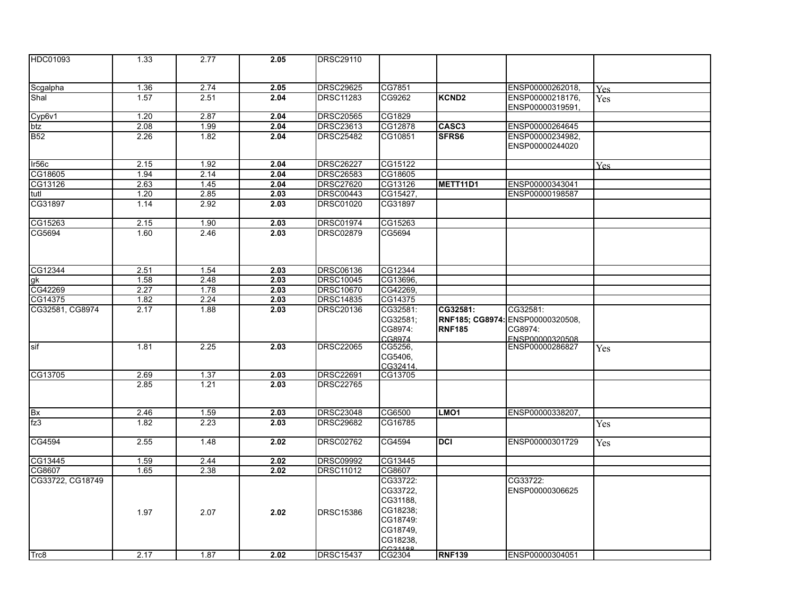| HDC01093          | 1.33 | 2.77 | 2.05 | <b>DRSC29110</b> |          |                   |                  |            |
|-------------------|------|------|------|------------------|----------|-------------------|------------------|------------|
|                   |      |      |      |                  |          |                   |                  |            |
| Scgalpha          | 1.36 | 2.74 | 2.05 | <b>DRSC29625</b> | CG7851   |                   | ENSP00000262018, |            |
| Shal              | 1.57 | 2.51 | 2.04 | <b>DRSC11283</b> | CG9262   | KCND <sub>2</sub> | ENSP00000218176, | <b>Yes</b> |
|                   |      |      |      |                  |          |                   | ENSP00000319591, | <b>Yes</b> |
| Cyp6v1            | 1.20 | 2.87 | 2.04 | <b>DRSC20565</b> | CG1829   |                   |                  |            |
| btz               | 2.08 | 1.99 | 2.04 | <b>DRSC23613</b> | CG12878  | CASC <sub>3</sub> | ENSP00000264645  |            |
| $\overline{B52}$  | 2.26 | 1.82 | 2.04 | <b>DRSC25482</b> | CG10851  | SFRS6             | ENSP00000234982, |            |
|                   |      |      |      |                  |          |                   | ENSP00000244020  |            |
| Ir <sub>56c</sub> | 2.15 | 1.92 | 2.04 | <b>DRSC26227</b> | CG15122  |                   |                  | <b>Yes</b> |
| CG18605           | 1.94 | 2.14 | 2.04 | <b>DRSC26583</b> | CG18605  |                   |                  |            |
| CG13126           | 2.63 | 1.45 | 2.04 | <b>DRSC27620</b> | CG13126  | METT11D1          | ENSP00000343041  |            |
| ltutl             | 1.20 | 2.85 | 2.03 | <b>DRSC00443</b> | CG15427, |                   | ENSP00000198587  |            |
| CG31897           | 1.14 | 2.92 | 2.03 | <b>DRSC01020</b> | CG31897  |                   |                  |            |
|                   |      |      |      |                  |          |                   |                  |            |
| CG15263           | 2.15 | 1.90 | 2.03 | <b>DRSC01974</b> | CG15263  |                   |                  |            |
| CG5694            | 1.60 | 2.46 | 2.03 | <b>DRSC02879</b> | CG5694   |                   |                  |            |
|                   |      |      |      |                  |          |                   |                  |            |
|                   |      |      |      |                  |          |                   |                  |            |
| CG12344           | 2.51 | 1.54 | 2.03 | <b>DRSC06136</b> | CG12344  |                   |                  |            |
| lgk               | 1.58 | 2.48 | 2.03 | <b>DRSC10045</b> | CG13696, |                   |                  |            |
| CG42269           | 2.27 | 1.78 | 2.03 | <b>DRSC10670</b> | CG42269, |                   |                  |            |
| CG14375           | 1.82 | 2.24 | 2.03 | <b>DRSC14835</b> | CG14375  |                   |                  |            |
| CG32581, CG8974   | 2.17 | 1.88 | 2.03 | <b>DRSC20136</b> | CG32581: | CG32581:          | CG32581:         |            |
|                   |      |      |      |                  | CG32581; | RNF185; CG8974:   | ENSP00000320508, |            |
|                   |      |      |      |                  | CG8974:  | <b>RNF185</b>     | CG8974:          |            |
|                   |      |      |      |                  | CG8974   |                   | ENSP00000320508  |            |
| sif               | 1.81 | 2.25 | 2.03 | <b>DRSC22065</b> | CG5256,  |                   | ENSP00000286827  | <b>Yes</b> |
|                   |      |      |      |                  | CG5406,  |                   |                  |            |
|                   |      |      |      |                  | CG32414. |                   |                  |            |
| CG13705           | 2.69 | 1.37 | 2.03 | <b>DRSC22691</b> | CG13705  |                   |                  |            |
|                   | 2.85 | 1.21 | 2.03 | <b>DRSC22765</b> |          |                   |                  |            |
|                   |      |      |      |                  |          |                   |                  |            |
|                   |      |      |      |                  | CG6500   |                   |                  |            |
| <b>Bx</b>         | 2.46 | 1.59 | 2.03 | <b>DRSC23048</b> |          | LMO <sub>1</sub>  | ENSP00000338207, |            |
| fz3               | 1.82 | 2.23 | 2.03 | <b>DRSC29682</b> | CG16785  |                   |                  | Yes        |
| CG4594            | 2.55 | 1.48 | 2.02 | <b>DRSC02762</b> | CG4594   | <b>DCI</b>        | ENSP00000301729  | Yes        |
| CG13445           | 1.59 | 2.44 | 2.02 | <b>DRSC09992</b> | CG13445  |                   |                  |            |
| CG8607            | 1.65 | 2.38 | 2.02 | <b>DRSC11012</b> | CG8607   |                   |                  |            |
| CG33722, CG18749  |      |      |      |                  | CG33722: |                   | CG33722:         |            |
|                   |      |      |      |                  | CG33722, |                   | ENSP00000306625  |            |
|                   |      |      |      |                  | CG31188, |                   |                  |            |
|                   |      |      |      |                  | CG18238; |                   |                  |            |
|                   | 1.97 | 2.07 | 2.02 | <b>DRSC15386</b> | CG18749: |                   |                  |            |
|                   |      |      |      |                  | CG18749, |                   |                  |            |
|                   |      |      |      |                  | CG18238, |                   |                  |            |
|                   |      |      |      |                  |          |                   |                  |            |
| Trc8              | 2.17 | 1.87 | 2.02 | <b>DRSC15437</b> | CG2304   | <b>RNF139</b>     | ENSP00000304051  |            |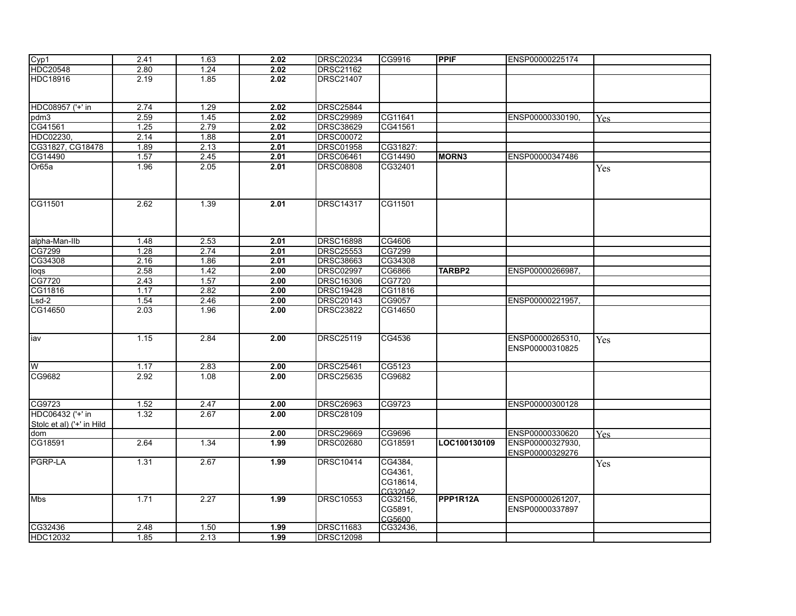| Cyp1                                          | 2.41 | 1.63 | 2.02 | <b>DRSC20234</b> | CG9916                                    | <b>PPIF</b>       | ENSP00000225174                     |            |
|-----------------------------------------------|------|------|------|------------------|-------------------------------------------|-------------------|-------------------------------------|------------|
| <b>HDC20548</b>                               | 2.80 | 1.24 | 2.02 | <b>DRSC21162</b> |                                           |                   |                                     |            |
| <b>HDC18916</b>                               | 2.19 | 1.85 | 2.02 | <b>DRSC21407</b> |                                           |                   |                                     |            |
| HDC08957 ('+' in                              | 2.74 | 1.29 | 2.02 | <b>DRSC25844</b> |                                           |                   |                                     |            |
| pdm3                                          | 2.59 | 1.45 | 2.02 | <b>DRSC29989</b> | CG11641                                   |                   | ENSP00000330190.                    | <b>Yes</b> |
| CG41561                                       | 1.25 | 2.79 | 2.02 | <b>DRSC38629</b> | CG41561                                   |                   |                                     |            |
| HDC02230.                                     | 2.14 | 1.88 | 2.01 | <b>DRSC00072</b> |                                           |                   |                                     |            |
| CG31827, CG18478                              | 1.89 | 2.13 | 2.01 | <b>DRSC01958</b> | CG31827:                                  |                   |                                     |            |
| CG14490                                       | 1.57 | 2.45 | 2.01 | <b>DRSC06461</b> | CG14490                                   | MORN <sub>3</sub> | ENSP00000347486                     |            |
| Or <sub>65a</sub>                             | 1.96 | 2.05 | 2.01 | <b>DRSC08808</b> | CG32401                                   |                   |                                     | Yes        |
| CG11501                                       | 2.62 | 1.39 | 2.01 | <b>DRSC14317</b> | CG11501                                   |                   |                                     |            |
| alpha-Man-Ilb                                 | 1.48 | 2.53 | 2.01 | DRSC16898        | CG4606                                    |                   |                                     |            |
| CG7299                                        | 1.28 | 2.74 | 2.01 | <b>DRSC25553</b> | CG7299                                    |                   |                                     |            |
| CG34308                                       | 2.16 | 1.86 | 2.01 | <b>DRSC38663</b> | CG34308                                   |                   |                                     |            |
| loqs                                          | 2.58 | 1.42 | 2.00 | <b>DRSC02997</b> | CG6866                                    | TARBP2            | ENSP00000266987,                    |            |
| CG7720                                        | 2.43 | 1.57 | 2.00 | <b>DRSC16306</b> | CG7720                                    |                   |                                     |            |
| CG11816                                       | 1.17 | 2.82 | 2.00 | <b>DRSC19428</b> | CG11816                                   |                   |                                     |            |
| $Lsd-2$                                       | 1.54 | 2.46 | 2.00 | <b>DRSC20143</b> | CG9057                                    |                   | ENSP00000221957,                    |            |
| CG14650                                       | 2.03 | 1.96 | 2.00 | <b>DRSC23822</b> | CG14650                                   |                   |                                     |            |
| liav                                          | 1.15 | 2.84 | 2.00 | <b>DRSC25119</b> | CG4536                                    |                   | ENSP00000265310.<br>ENSP00000310825 | Yes        |
| lw                                            | 1.17 | 2.83 | 2.00 | <b>DRSC25461</b> | CG5123                                    |                   |                                     |            |
| CG9682                                        | 2.92 | 1.08 | 2.00 | <b>DRSC25635</b> | CG9682                                    |                   |                                     |            |
| CG9723                                        | 1.52 | 2.47 | 2.00 | <b>DRSC26963</b> | CG9723                                    |                   | ENSP00000300128                     |            |
| HDC06432 ('+' in<br>Stolc et al) ('+' in Hild | 1.32 | 2.67 | 2.00 | <b>DRSC28109</b> |                                           |                   |                                     |            |
| dom                                           |      |      | 2.00 | <b>DRSC29669</b> | CG9696                                    |                   | ENSP00000330620                     | <b>Yes</b> |
| CG18591                                       | 2.64 | 1.34 | 1.99 | <b>DRSC02680</b> | CG18591                                   | LOC100130109      | ENSP00000327930,<br>ENSP00000329276 |            |
| <b>PGRP-LA</b>                                | 1.31 | 2.67 | 1.99 | <b>DRSC10414</b> | CG4384,<br>CG4361,<br>CG18614,<br>CG32042 |                   |                                     | Yes        |
| <b>Mbs</b>                                    | 1.71 | 2.27 | 1.99 | <b>DRSC10553</b> | CG32156,<br>CG5891,<br>CG5600             | PPP1R12A          | ENSP00000261207,<br>ENSP00000337897 |            |
| CG32436                                       | 2.48 | 1.50 | 1.99 | <b>DRSC11683</b> | CG32436,                                  |                   |                                     |            |
| HDC12032                                      | 1.85 | 2.13 | 1.99 | <b>DRSC12098</b> |                                           |                   |                                     |            |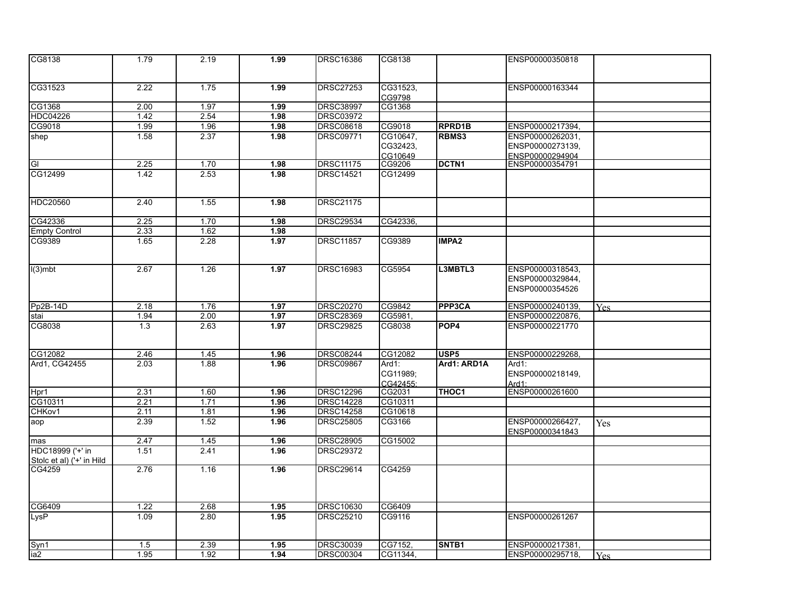| CG8138                    | 1.79   | 2.19 | 1.99 | DRSC16386        | CG8138               |                   | ENSP00000350818           |      |
|---------------------------|--------|------|------|------------------|----------------------|-------------------|---------------------------|------|
|                           |        |      |      |                  |                      |                   |                           |      |
| CG31523                   | 2.22   | 1.75 | 1.99 | <b>DRSC27253</b> | CG31523,             |                   | ENSP00000163344           |      |
|                           |        |      |      |                  | CG9798               |                   |                           |      |
| CG1368                    | 2.00   | 1.97 | 1.99 | <b>DRSC38997</b> | CG1368               |                   |                           |      |
| <b>HDC04226</b>           | $1.42$ | 2.54 | 1.98 | <b>DRSC03972</b> |                      |                   |                           |      |
| CG9018                    | 1.99   | 1.96 | 1.98 | DRSC08618        | CG9018               | <b>RPRD1B</b>     | ENSP00000217394,          |      |
| shep                      | 1.58   | 2.37 | 1.98 | <b>DRSC09771</b> | CG10647,             | RBMS3             | ENSP00000262031,          |      |
|                           |        |      |      |                  | CG32423,             |                   | ENSP00000273139.          |      |
|                           |        |      |      |                  | CG10649              |                   | ENSP00000294904           |      |
| GI                        | 2.25   | 1.70 | 1.98 | <b>DRSC11175</b> | CG9206               | DCTN <sub>1</sub> | ENSP00000354791           |      |
| CG12499                   | 1.42   | 2.53 | 1.98 | <b>DRSC14521</b> | CG12499              |                   |                           |      |
| <b>HDC20560</b>           | 2.40   | 1.55 | 1.98 | <b>DRSC21175</b> |                      |                   |                           |      |
| CG42336                   | 2.25   | 1.70 | 1.98 | <b>DRSC29534</b> | CG42336,             |                   |                           |      |
| <b>Empty Control</b>      | 2.33   | 1.62 | 1.98 |                  |                      |                   |                           |      |
| CG9389                    | 1.65   | 2.28 | 1.97 | <b>DRSC11857</b> | CG9389               | <b>IMPA2</b>      |                           |      |
|                           |        |      |      |                  |                      |                   |                           |      |
| $I(3)$ mbt                | 2.67   | 1.26 | 1.97 | DRSC16983        | CG5954               | L3MBTL3           | ENSP00000318543,          |      |
|                           |        |      |      |                  |                      |                   | ENSP00000329844,          |      |
|                           |        |      |      |                  |                      |                   | ENSP00000354526           |      |
| Pp2B-14D                  | 2.18   | 1.76 | 1.97 | DRSC20270        | CG9842               | PPP3CA            | ENSP00000240139,          | Yes. |
| stai                      | 1.94   | 2.00 | 1.97 | <b>DRSC28369</b> | CG5981,              |                   | ENSP00000220876,          |      |
| CG8038                    | 1.3    | 2.63 | 1.97 | <b>DRSC29825</b> | CG8038               | POP <sub>4</sub>  | ENSP00000221770           |      |
|                           |        |      |      |                  |                      |                   |                           |      |
|                           |        |      |      |                  |                      |                   |                           |      |
| CG12082                   | 2.46   | 1.45 | 1.96 | <b>DRSC08244</b> | CG12082              | <b>USP5</b>       | ENSP00000229268.          |      |
| Ard1, CG42455             | 2.03   | 1.88 | 1.96 | <b>DRSC09867</b> | $Ard1$ :             | Ard1: ARD1A       | $Ard1$ :                  |      |
|                           |        |      |      |                  | CG11989;<br>CG42455: |                   | ENSP00000218149,<br>Ard1: |      |
| Hpr1                      | 2.31   | 1.60 | 1.96 | <b>DRSC12296</b> | CG2031               | THOC <sub>1</sub> | ENSP00000261600           |      |
| CG10311                   | 2.21   | 1.71 | 1.96 | <b>DRSC14228</b> | CG10311              |                   |                           |      |
| CHKov1                    | 2.11   | 1.81 | 1.96 | <b>DRSC14258</b> | CG10618              |                   |                           |      |
| aop                       | 2.39   | 1.52 | 1.96 | <b>DRSC25805</b> | CG3166               |                   | ENSP00000266427,          | Yes  |
|                           |        |      |      |                  |                      |                   | ENSP00000341843           |      |
| mas                       | 2.47   | 1.45 | 1.96 | <b>DRSC28905</b> | CG15002              |                   |                           |      |
| HDC18999 ('+' in          | 1.51   | 2.41 | 1.96 | <b>DRSC29372</b> |                      |                   |                           |      |
| Stolc et al) ('+' in Hild |        |      |      |                  |                      |                   |                           |      |
| CG4259                    | 2.76   | 1.16 | 1.96 | <b>DRSC29614</b> | CG4259               |                   |                           |      |
|                           |        |      |      |                  |                      |                   |                           |      |
| CG6409                    | 1.22   | 2.68 | 1.95 | DRSC10630        | CG6409               |                   |                           |      |
| LysP                      | 1.09   | 2.80 | 1.95 | <b>DRSC25210</b> | CG9116               |                   | ENSP00000261267           |      |
|                           |        |      |      |                  |                      |                   |                           |      |
| Syn1                      | 1.5    | 2.39 | 1.95 | DRSC30039        | CG7152,              | SNTB1             | ENSP00000217381,          |      |
| ia <sub>2</sub>           | 1.95   | 1.92 | 1.94 | <b>DRSC00304</b> | CG11344,             |                   | ENSP00000295718,          | Yes. |
|                           |        |      |      |                  |                      |                   |                           |      |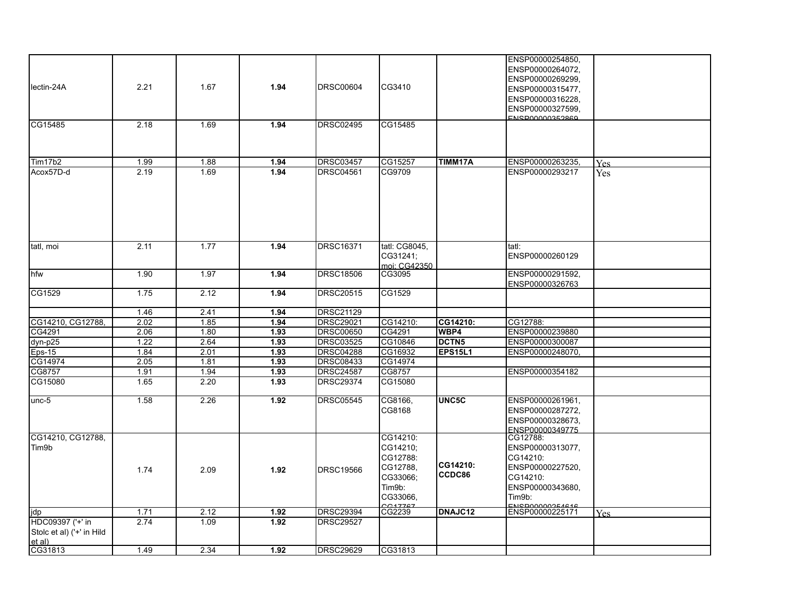|                           |      |      |      |                  |                   |              | ENSP00000254850,                          |            |
|---------------------------|------|------|------|------------------|-------------------|--------------|-------------------------------------------|------------|
|                           |      |      |      |                  |                   |              | ENSP00000264072,                          |            |
|                           |      |      |      |                  |                   |              | ENSP00000269299,                          |            |
| lectin-24A                | 2.21 | 1.67 | 1.94 | <b>DRSC00604</b> | CG3410            |              |                                           |            |
|                           |      |      |      |                  |                   |              | ENSP00000315477,                          |            |
|                           |      |      |      |                  |                   |              | ENSP00000316228,                          |            |
|                           |      |      |      |                  |                   |              | ENSP00000327599.                          |            |
| CG15485                   | 2.18 | 1.69 | 1.94 | DRSC02495        | CG15485           |              | <b>ENSPOOOO352860</b>                     |            |
|                           |      |      |      |                  |                   |              |                                           |            |
|                           |      |      |      |                  |                   |              |                                           |            |
|                           |      |      |      |                  |                   |              |                                           |            |
| Tim17b2                   | 1.99 | 1.88 | 1.94 | <b>DRSC03457</b> | CG15257           | TIMM17A      | ENSP00000263235,                          | <b>Yes</b> |
| Acox57D-d                 | 2.19 | 1.69 | 1.94 | DRSC04561        | CG9709            |              | ENSP00000293217                           | Yes        |
|                           |      |      |      |                  |                   |              |                                           |            |
|                           |      |      |      |                  |                   |              |                                           |            |
|                           |      |      |      |                  |                   |              |                                           |            |
|                           |      |      |      |                  |                   |              |                                           |            |
|                           |      |      |      |                  |                   |              |                                           |            |
|                           |      |      |      |                  |                   |              |                                           |            |
|                           |      |      |      |                  |                   |              |                                           |            |
| tatl, moi                 | 2.11 | 1.77 | 1.94 | <b>DRSC16371</b> | tatl: CG8045.     |              | tatl:                                     |            |
|                           |      |      |      |                  | CG31241;          |              | ENSP00000260129                           |            |
|                           |      |      |      |                  | moi: CG42350      |              |                                           |            |
| hfw                       | 1.90 | 1.97 | 1.94 | <b>DRSC18506</b> | CG3095            |              | ENSP00000291592,                          |            |
|                           |      |      |      |                  |                   |              | ENSP00000326763                           |            |
| CG1529                    | 1.75 | 2.12 | 1.94 | DRSC20515        | CG1529            |              |                                           |            |
|                           |      |      |      |                  |                   |              |                                           |            |
|                           | 1.46 | 2.41 | 1.94 | <b>DRSC21129</b> |                   |              |                                           |            |
| CG14210, CG12788,         | 2.02 | 1.85 | 1.94 | <b>DRSC29021</b> | CG14210:          | CG14210:     | CG12788:                                  |            |
| CG4291                    | 2.06 | 1.80 | 1.93 | <b>DRSC00650</b> | CG4291            | WBP4         | ENSP00000239880                           |            |
| dyn-p25                   | 1.22 | 2.64 | 1.93 | <b>DRSC03525</b> | CG10846           | <b>DCTN5</b> | ENSP00000300087                           |            |
| $Eps-15$                  | 1.84 | 2.01 | 1.93 | <b>DRSC04288</b> | CG16932           | EPS15L1      | ENSP00000248070,                          |            |
| CG14974                   | 2.05 | 1.81 | 1.93 | <b>DRSC08433</b> | CG14974           |              |                                           |            |
| CG8757                    | 1.91 | 1.94 | 1.93 | <b>DRSC24587</b> | CG8757            |              | ENSP00000354182                           |            |
| CG15080                   | 1.65 | 2.20 | 1.93 | <b>DRSC29374</b> | CG15080           |              |                                           |            |
|                           |      |      |      |                  |                   |              |                                           |            |
| unc-5                     | 1.58 | 2.26 | 1.92 | DRSC05545        | CG8166,           | UNC5C        | ENSP00000261961,                          |            |
|                           |      |      |      |                  | CG8168            |              | ENSP00000287272,                          |            |
|                           |      |      |      |                  |                   |              |                                           |            |
|                           |      |      |      |                  |                   |              | ENSP00000328673.<br>FNSP00000349775       |            |
| CG14210, CG12788,         |      |      |      |                  | CG14210:          |              | CG12788:                                  |            |
| Tim <sub>9b</sub>         |      |      |      |                  | CG14210;          |              | ENSP00000313077,                          |            |
|                           |      |      |      |                  |                   |              | CG14210:                                  |            |
|                           |      |      |      |                  | CG12788:          | CG14210:     |                                           |            |
|                           | 1.74 | 2.09 | 1.92 | <b>DRSC19566</b> | CG12788,          | CCDC86       | ENSP00000227520,                          |            |
|                           |      |      |      |                  | CG33066;          |              | CG14210:                                  |            |
|                           |      |      |      |                  | Tim9b:            |              | ENSP00000343680,                          |            |
|                           |      |      |      |                  | CG33066,          |              | Tim9b:                                    |            |
| lidp                      | 1.71 | 2.12 | 1.92 | <b>DRSC29394</b> | 0.47767<br>CG2239 | DNAJC12      | <b>ENCDOOOOOOE4646</b><br>ENSP00000225171 | <b>Yes</b> |
| HDC09397 ('+' in          | 2.74 | 1.09 | 1.92 | <b>DRSC29527</b> |                   |              |                                           |            |
| Stolc et al) ('+' in Hild |      |      |      |                  |                   |              |                                           |            |
| et al)                    |      |      |      |                  |                   |              |                                           |            |
| CG31813                   | 1.49 | 2.34 | 1.92 | <b>DRSC29629</b> | CG31813           |              |                                           |            |
|                           |      |      |      |                  |                   |              |                                           |            |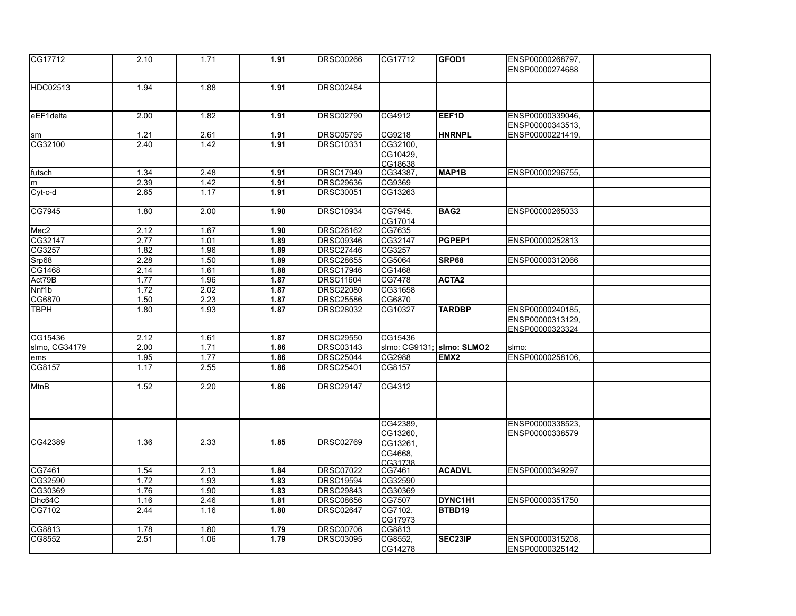| CG17712          | 2.10 | 1.71 | 1.91 | <b>DRSC00266</b> | CG17712  | GFOD1                     | ENSP00000268797, |  |
|------------------|------|------|------|------------------|----------|---------------------------|------------------|--|
|                  |      |      |      |                  |          |                           | ENSP00000274688  |  |
|                  |      |      |      |                  |          |                           |                  |  |
| HDC02513         | 1.94 | 1.88 | 1.91 | <b>DRSC02484</b> |          |                           |                  |  |
|                  |      |      |      |                  |          |                           |                  |  |
| eEF1delta        | 2.00 | 1.82 | 1.91 | <b>DRSC02790</b> | CG4912   | EEF1D                     | ENSP00000339046, |  |
|                  |      |      |      |                  |          |                           | ENSP00000343513, |  |
| <b>sm</b>        | 1.21 | 2.61 | 1.91 | <b>DRSC05795</b> | CG9218   | <b>HNRNPL</b>             | ENSP00000221419, |  |
| CG32100          | 2.40 | 1.42 | 1.91 | <b>DRSC10331</b> | CG32100, |                           |                  |  |
|                  |      |      |      |                  | CG10429, |                           |                  |  |
|                  |      |      |      |                  | CG18638  |                           |                  |  |
| futsch           | 1.34 | 2.48 | 1.91 | <b>DRSC17949</b> | CG34387, | MAP <sub>1B</sub>         | ENSP00000296755, |  |
| m                | 2.39 | 1.42 | 1.91 | <b>DRSC29636</b> | CG9369   |                           |                  |  |
| $Cyt-c-d$        | 2.65 | 1.17 | 1.91 | DRSC30051        | CG13263  |                           |                  |  |
|                  |      |      |      |                  |          |                           |                  |  |
| CG7945           | 1.80 | 2.00 | 1.90 | <b>DRSC10934</b> | CG7945,  | BAG <sub>2</sub>          | ENSP00000265033  |  |
|                  |      |      |      |                  | CG17014  |                           |                  |  |
| Mec <sub>2</sub> | 2.12 | 1.67 | 1.90 | <b>DRSC26162</b> | CG7635   |                           |                  |  |
| CG32147          | 2.77 | 1.01 | 1.89 | <b>DRSC09346</b> | CG32147  | PGPEP1                    | ENSP00000252813  |  |
| CG3257           | 1.82 | 1.96 | 1.89 | <b>DRSC27446</b> | CG3257   |                           |                  |  |
| Srp68            | 2.28 | 1.50 | 1.89 | <b>DRSC28655</b> | CG5064   | SRP68                     | ENSP00000312066  |  |
| CG1468           | 2.14 | 1.61 | 1.88 | <b>DRSC17946</b> | CG1468   |                           |                  |  |
| Act79B           | 1.77 | 1.96 | 1.87 | <b>DRSC11604</b> | CG7478   | ACTA <sub>2</sub>         |                  |  |
| Nnf1b            | 1.72 | 2.02 | 1.87 | <b>DRSC22080</b> | CG31658  |                           |                  |  |
| CG6870           | 1.50 | 2.23 | 1.87 | <b>DRSC25586</b> | CG6870   |                           |                  |  |
| <b>TBPH</b>      | 1.80 | 1.93 | 1.87 | DRSC28032        | CG10327  | <b>TARDBP</b>             | ENSP00000240185, |  |
|                  |      |      |      |                  |          |                           | ENSP00000313129, |  |
|                  |      |      |      |                  |          |                           | ENSP00000323324  |  |
| CG15436          | 2.12 | 1.61 | 1.87 | <b>DRSC29550</b> | CG15436  |                           |                  |  |
| slmo, CG34179    | 2.00 | 1.71 | 1.86 | <b>DRSC03143</b> |          | slmo: CG9131; Slmo: SLMO2 | slmo:            |  |
| ems              | 1.95 | 1.77 | 1.86 | <b>DRSC25044</b> | CG2988   | EMX <sub>2</sub>          | ENSP00000258106, |  |
| CG8157           | 1.17 | 2.55 | 1.86 | <b>DRSC25401</b> | CG8157   |                           |                  |  |
| <b>MtnB</b>      | 1.52 | 2.20 | 1.86 | <b>DRSC29147</b> | CG4312   |                           |                  |  |
|                  |      |      |      |                  |          |                           |                  |  |
|                  |      |      |      |                  |          |                           |                  |  |
|                  |      |      |      |                  |          |                           |                  |  |
|                  |      |      |      |                  | CG42389, |                           | ENSP00000338523. |  |
|                  |      |      |      |                  | CG13260, |                           | ENSP00000338579  |  |
| CG42389          | 1.36 | 2.33 | 1.85 | <b>DRSC02769</b> | CG13261, |                           |                  |  |
|                  |      |      |      |                  | CG4668,  |                           |                  |  |
|                  |      |      |      |                  | CG31738  |                           |                  |  |
| CG7461           | 1.54 | 2.13 | 1.84 | <b>DRSC07022</b> | CG7461   | <b>ACADVL</b>             | ENSP00000349297  |  |
| CG32590          | 1.72 | 1.93 | 1.83 | <b>DRSC19594</b> | CG32590  |                           |                  |  |
| CG30369          | 1.76 | 1.90 | 1.83 | <b>DRSC29843</b> | CG30369  |                           |                  |  |
| Dhc64C           | 1.16 | 2.46 | 1.81 | <b>DRSC08656</b> | CG7507   | DYNC1H1                   | ENSP00000351750  |  |
| CG7102           | 2.44 | 1.16 | 1.80 | <b>DRSC02647</b> | CG7102,  | BTBD19                    |                  |  |
|                  |      |      |      |                  | CG17973  |                           |                  |  |
| CG8813           | 1.78 | 1.80 | 1.79 | <b>DRSC00706</b> | CG8813   |                           |                  |  |
| CG8552           | 2.51 | 1.06 | 1.79 | DRSC03095        | CG8552,  | SEC23IP                   | ENSP00000315208, |  |
|                  |      |      |      |                  | CG14278  |                           | ENSP00000325142  |  |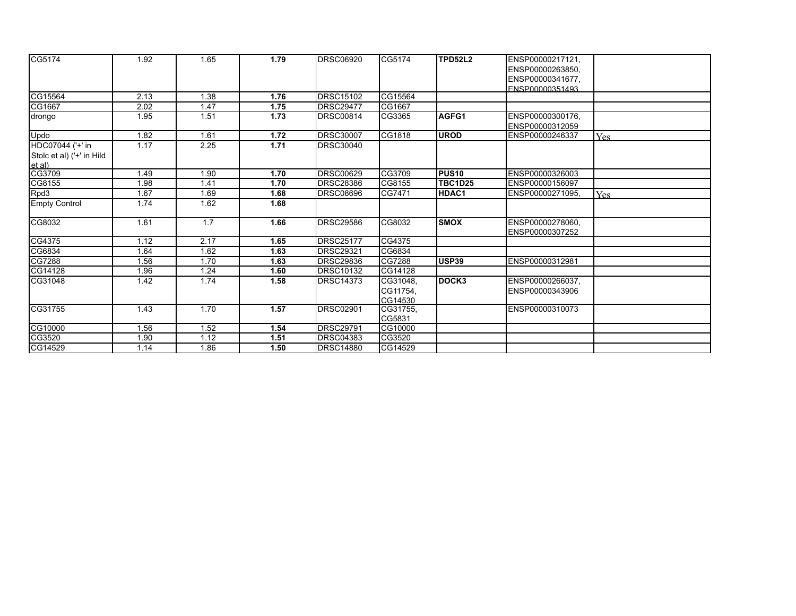| CG5174                    | 1.92 | 1.65 | 1.79 | <b>DRSC06920</b> | CG5174   | TPD52L2        | ENSP00000217121, |            |
|---------------------------|------|------|------|------------------|----------|----------------|------------------|------------|
|                           |      |      |      |                  |          |                | ENSP00000263850, |            |
|                           |      |      |      |                  |          |                | ENSP00000341677, |            |
|                           |      |      |      |                  |          |                | ENSP00000351493  |            |
| CG15564                   | 2.13 | 1.38 | 1.76 | <b>DRSC15102</b> | CG15564  |                |                  |            |
| CG1667                    | 2.02 | 1.47 | 1.75 | <b>DRSC29477</b> | CG1667   |                |                  |            |
| drongo                    | 1.95 | 1.51 | 1.73 | <b>DRSC00814</b> | CG3365   | AGFG1          | ENSP00000300176, |            |
|                           |      |      |      |                  |          |                | ENSP00000312059  |            |
| Updo                      | 1.82 | 1.61 | 1.72 | <b>DRSC30007</b> | CG1818   | <b>UROD</b>    | ENSP00000246337  | <b>Yes</b> |
| HDC07044 ('+' in          | 1.17 | 2.25 | 1.71 | <b>DRSC30040</b> |          |                |                  |            |
| Stolc et al) ('+' in Hild |      |      |      |                  |          |                |                  |            |
| et al)                    |      |      |      |                  |          |                |                  |            |
| CG3709                    | 1.49 | 1.90 | 1.70 | <b>DRSC00629</b> | CG3709   | lPUS10         | ENSP00000326003  |            |
| CG8155                    | 1.98 | 1.41 | 1.70 | <b>DRSC28386</b> | CG8155   | <b>TBC1D25</b> | ENSP00000156097  |            |
| Rpd3                      | 1.67 | 1.69 | 1.68 | <b>DRSC08696</b> | CG7471   | HDAC1          | ENSP00000271095. | <b>Yes</b> |
| <b>Empty Control</b>      | 1.74 | 1.62 | 1.68 |                  |          |                |                  |            |
| CG8032                    | 1.61 | 1.7  | 1.66 | <b>DRSC29586</b> | CG8032   | <b>SMOX</b>    | ENSP00000278060. |            |
|                           |      |      |      |                  |          |                | ENSP00000307252  |            |
| CG4375                    | 1.12 | 2.17 | 1.65 | <b>DRSC25177</b> | CG4375   |                |                  |            |
| CG6834                    | 1.64 | 1.62 | 1.63 | <b>DRSC29321</b> | CG6834   |                |                  |            |
| CG7288                    | 1.56 | 1.70 | 1.63 | <b>DRSC29836</b> | CG7288   | USP39          | ENSP00000312981  |            |
| CG14128                   | 1.96 | 1.24 | 1.60 | <b>DRSC10132</b> | CG14128  |                |                  |            |
| CG31048                   | 1.42 | 1.74 | 1.58 | <b>DRSC14373</b> | CG31048, | DOCK3          | ENSP00000266037, |            |
|                           |      |      |      |                  | CG11754. |                | ENSP00000343906  |            |
|                           |      |      |      |                  | CG14530  |                |                  |            |
| CG31755                   | 1.43 | 1.70 | 1.57 | <b>DRSC02901</b> | CG31755, |                | ENSP00000310073  |            |
|                           |      |      |      |                  | CG5831   |                |                  |            |
| CG10000                   | 1.56 | 1.52 | 1.54 | <b>DRSC29791</b> | CG10000  |                |                  |            |
| CG3520                    | 1.90 | 1.12 | 1.51 | <b>DRSC04383</b> | CG3520   |                |                  |            |
| CG14529                   | 1.14 | 1.86 | 1.50 | <b>DRSC14880</b> | CG14529  |                |                  |            |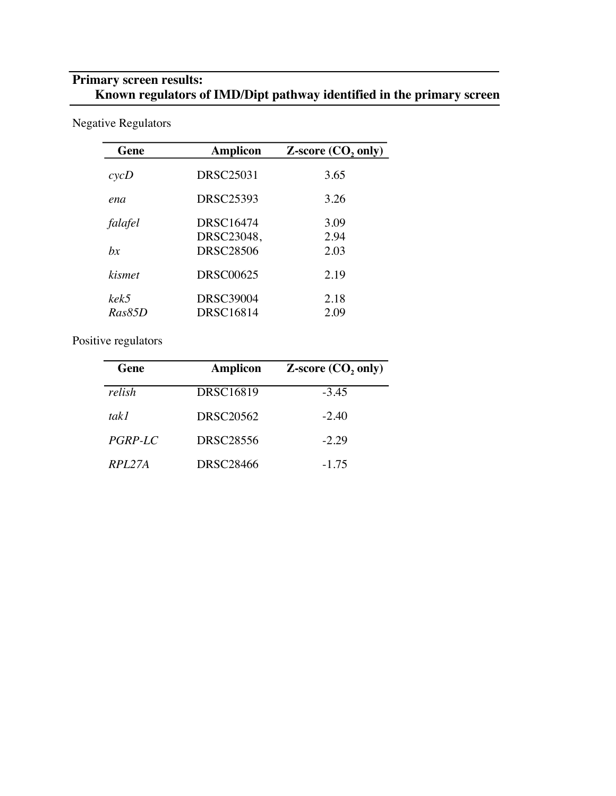# **Primary screen results: Known regulators of IMD/Dipt pathway identified in the primary screen**

Negative Regulators

| Gene           | Amplicon                | <b>Z-score (CO<sub>2</sub> only)</b> |
|----------------|-------------------------|--------------------------------------|
| cycD           | <b>DRSC25031</b>        | 3.65                                 |
| ena            | DRSC25393               | 3.26                                 |
| falafel        | DRSC16474<br>DRSC23048, | 3.09<br>2.94                         |
| bx             | <b>DRSC28506</b>        | 2.03                                 |
| <i>kismet</i>  | DRSC00625               | 2.19                                 |
| kek5<br>Ras85D | DRSC39004<br>DRSC16814  | 2.18<br>2.09                         |

Positive regulators

| Gene    | <b>Amplicon</b>  | $Z$ -score $(CO, only)$ |
|---------|------------------|-------------------------|
| relish  | <b>DRSC16819</b> | $-3.45$                 |
| tak l   | <b>DRSC20562</b> | $-2.40$                 |
| PGRP-LC | DRSC28556        | $-2.29$                 |
| RPI.27A | DRSC28466        | $-1.75$                 |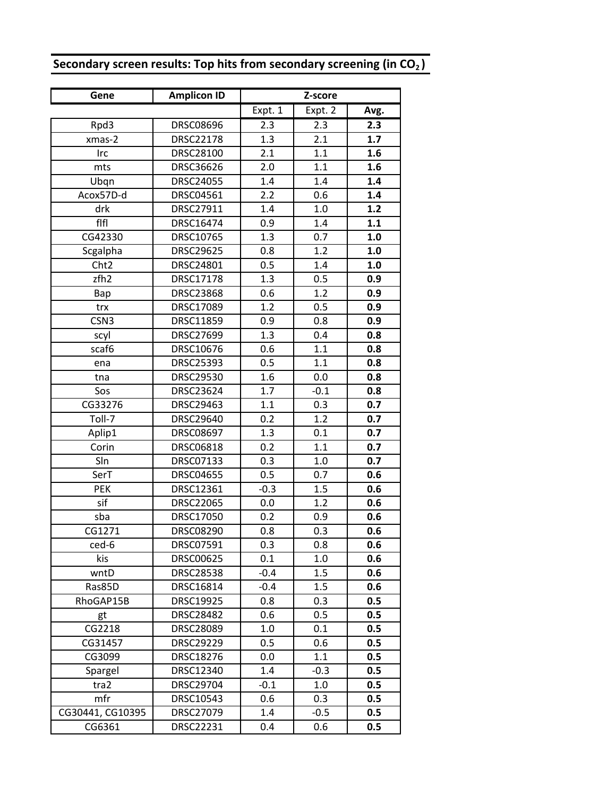| Secondary screen results: Top hits from secondary screening (in $CO2$ ) |  |  |  |
|-------------------------------------------------------------------------|--|--|--|
|-------------------------------------------------------------------------|--|--|--|

| Gene             | <b>Amplicon ID</b> |         | Z-score |      |
|------------------|--------------------|---------|---------|------|
|                  |                    | Expt. 1 | Expt. 2 | Avg. |
| Rpd3             | <b>DRSC08696</b>   | 2.3     | 2.3     | 2.3  |
| xmas-2           | <b>DRSC22178</b>   | 1.3     | 2.1     | 1.7  |
| Irc              | <b>DRSC28100</b>   | 2.1     | 1.1     | 1.6  |
| mts              | DRSC36626          | 2.0     | 1.1     | 1.6  |
| Ubqn             | <b>DRSC24055</b>   | 1.4     | 1.4     | 1.4  |
| Acox57D-d        | DRSC04561          | 2.2     | 0.6     | 1.4  |
| drk              | DRSC27911          | 1.4     | 1.0     | 1.2  |
| fifi             | <b>DRSC16474</b>   | 0.9     | 1.4     | 1.1  |
| CG42330          | DRSC10765          | 1.3     | 0.7     | 1.0  |
| Scgalpha         | DRSC29625          | 0.8     | 1.2     | 1.0  |
| Cht <sub>2</sub> | DRSC24801          | 0.5     | 1.4     | 1.0  |
| zfh2             | DRSC17178          | 1.3     | 0.5     | 0.9  |
| Bap              | <b>DRSC23868</b>   | 0.6     | 1.2     | 0.9  |
| trx              | <b>DRSC17089</b>   | 1.2     | 0.5     | 0.9  |
| CSN <sub>3</sub> | DRSC11859          | 0.9     | 0.8     | 0.9  |
| scyl             | <b>DRSC27699</b>   | 1.3     | 0.4     | 0.8  |
| scaf6            | DRSC10676          | 0.6     | 1.1     | 0.8  |
| ena              | DRSC25393          | 0.5     | 1.1     | 0.8  |
| tna              | <b>DRSC29530</b>   | 1.6     | 0.0     | 0.8  |
| Sos              | DRSC23624          | 1.7     | $-0.1$  | 0.8  |
| CG33276          | DRSC29463          | 1.1     | 0.3     | 0.7  |
| Toll-7           | DRSC29640          | 0.2     | 1.2     | 0.7  |
| Aplip1           | DRSC08697          | 1.3     | 0.1     | 0.7  |
| Corin            | DRSC06818          | 0.2     | 1.1     | 0.7  |
| Sln              | DRSC07133          | 0.3     | 1.0     | 0.7  |
| SerT             | <b>DRSC04655</b>   | 0.5     | 0.7     | 0.6  |
| <b>PEK</b>       | DRSC12361          | $-0.3$  | 1.5     | 0.6  |
| sif              | <b>DRSC22065</b>   | 0.0     | 1.2     | 0.6  |
| sba              | DRSC17050          | 0.2     | 0.9     | 0.6  |
| CG1271           | <b>DRSC08290</b>   | 0.8     | 0.3     | 0.6  |
| ced-6            | DRSC07591          | 0.3     | 0.8     | 0.6  |
| kis              | <b>DRSC00625</b>   | 0.1     | 1.0     | 0.6  |
| wntD             | <b>DRSC28538</b>   | $-0.4$  | 1.5     | 0.6  |
| Ras85D           | DRSC16814          | $-0.4$  | 1.5     | 0.6  |
| RhoGAP15B        | <b>DRSC19925</b>   | 0.8     | 0.3     | 0.5  |
| gt               | <b>DRSC28482</b>   | 0.6     | 0.5     | 0.5  |
| CG2218           | DRSC28089          | 1.0     | 0.1     | 0.5  |
| CG31457          | <b>DRSC29229</b>   | 0.5     | 0.6     | 0.5  |
| CG3099           | DRSC18276          | 0.0     | 1.1     | 0.5  |
| Spargel          | DRSC12340          | 1.4     | $-0.3$  | 0.5  |
| tra2             | DRSC29704          | $-0.1$  | 1.0     | 0.5  |
| mfr              | DRSC10543          | 0.6     | 0.3     | 0.5  |
| CG30441, CG10395 | DRSC27079          | 1.4     | $-0.5$  | 0.5  |
| CG6361           | DRSC22231          | 0.4     | 0.6     | 0.5  |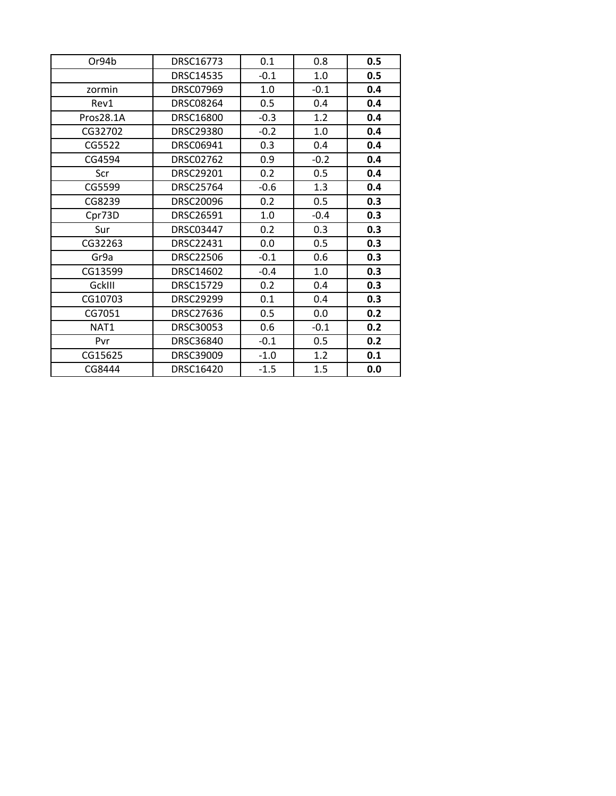| Or94b     | DRSC16773        | 0.1    | 0.8    | 0.5 |
|-----------|------------------|--------|--------|-----|
|           | <b>DRSC14535</b> | $-0.1$ | $1.0$  | 0.5 |
| zormin    | DRSC07969        | 1.0    | $-0.1$ | 0.4 |
| Rev1      | <b>DRSC08264</b> | 0.5    | 0.4    | 0.4 |
| Pros28.1A | DRSC16800        | $-0.3$ | 1.2    | 0.4 |
| CG32702   | <b>DRSC29380</b> | $-0.2$ | 1.0    | 0.4 |
| CG5522    | DRSC06941        | 0.3    | 0.4    | 0.4 |
| CG4594    | <b>DRSC02762</b> | 0.9    | $-0.2$ | 0.4 |
| Scr       | DRSC29201        | 0.2    | 0.5    | 0.4 |
| CG5599    | <b>DRSC25764</b> | $-0.6$ | 1.3    | 0.4 |
| CG8239    | DRSC20096        | 0.2    | 0.5    | 0.3 |
| Cpr73D    | DRSC26591        | 1.0    | $-0.4$ | 0.3 |
| Sur       | DRSC03447        | 0.2    | 0.3    | 0.3 |
| CG32263   | DRSC22431        | 0.0    | 0.5    | 0.3 |
| Gr9a      | <b>DRSC22506</b> | $-0.1$ | 0.6    | 0.3 |
| CG13599   | DRSC14602        | $-0.4$ | 1.0    | 0.3 |
| GckIII    | <b>DRSC15729</b> | 0.2    | 0.4    | 0.3 |
| CG10703   | <b>DRSC29299</b> | 0.1    | 0.4    | 0.3 |
| CG7051    | DRSC27636        | 0.5    | 0.0    | 0.2 |
| NAT1      | DRSC30053        | 0.6    | $-0.1$ | 0.2 |
| Pvr       | DRSC36840        | $-0.1$ | 0.5    | 0.2 |
| CG15625   | DRSC39009        | $-1.0$ | 1.2    | 0.1 |
| CG8444    | DRSC16420        | $-1.5$ | 1.5    | 0.0 |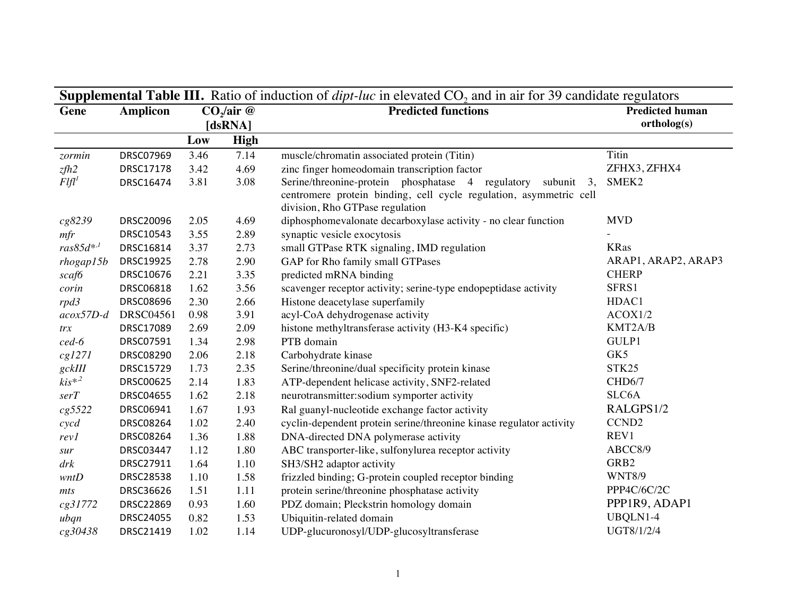| <b>Supplemental Table III.</b> Ratio of induction of $dipt$ -luc in elevated $CO2$ and in air for 39 candidate regulators |                  |                        |             |                                                                                                                                                                             |                                       |  |  |  |  |
|---------------------------------------------------------------------------------------------------------------------------|------------------|------------------------|-------------|-----------------------------------------------------------------------------------------------------------------------------------------------------------------------------|---------------------------------------|--|--|--|--|
| Gene                                                                                                                      | <b>Amplicon</b>  | $CO2/air$ @<br>[dsRNA] |             | <b>Predicted functions</b>                                                                                                                                                  | <b>Predicted human</b><br>ortholog(s) |  |  |  |  |
|                                                                                                                           |                  | Low                    | <b>High</b> |                                                                                                                                                                             |                                       |  |  |  |  |
| zormin                                                                                                                    | DRSC07969        | 3.46                   | 7.14        | muscle/chromatin associated protein (Titin)                                                                                                                                 | <b>Titin</b>                          |  |  |  |  |
| zfh2                                                                                                                      | DRSC17178        | 3.42                   | 4.69        | zinc finger homeodomain transcription factor                                                                                                                                | ZFHX3, ZFHX4                          |  |  |  |  |
| $F$ lfl <sup>1</sup>                                                                                                      | DRSC16474        | 3.81                   | 3.08        | Serine/threonine-protein phosphatase 4 regulatory<br>subunit $3$ ,<br>centromere protein binding, cell cycle regulation, asymmetric cell<br>division, Rho GTPase regulation | SMEK <sub>2</sub>                     |  |  |  |  |
| cg8239                                                                                                                    | DRSC20096        | 2.05                   | 4.69        | diphosphomevalonate decarboxylase activity - no clear function                                                                                                              | <b>MVD</b>                            |  |  |  |  |
| mfr                                                                                                                       | DRSC10543        | 3.55                   | 2.89        | synaptic vesicle exocytosis                                                                                                                                                 |                                       |  |  |  |  |
| $ras85d^{*,l}$                                                                                                            | DRSC16814        | 3.37                   | 2.73        | small GTPase RTK signaling, IMD regulation                                                                                                                                  | <b>KRas</b>                           |  |  |  |  |
| $r$ hogap $15b$                                                                                                           | DRSC19925        | 2.78                   | 2.90        | GAP for Rho family small GTPases                                                                                                                                            | ARAP1, ARAP2, ARAP3                   |  |  |  |  |
| scaf6                                                                                                                     | DRSC10676        | 2.21                   | 3.35        | predicted mRNA binding                                                                                                                                                      | <b>CHERP</b>                          |  |  |  |  |
| corin                                                                                                                     | DRSC06818        | 1.62                   | 3.56        | scavenger receptor activity; serine-type endopeptidase activity                                                                                                             | SFRS1                                 |  |  |  |  |
| rpd3                                                                                                                      | DRSC08696        | 2.30                   | 2.66        | Histone deacetylase superfamily                                                                                                                                             | HDAC1                                 |  |  |  |  |
| $acox57D-d$                                                                                                               | <b>DRSC04561</b> | 0.98                   | 3.91        | acyl-CoA dehydrogenase activity                                                                                                                                             | ACOX1/2                               |  |  |  |  |
| trx                                                                                                                       | DRSC17089        | 2.69                   | 2.09        | histone methyltransferase activity (H3-K4 specific)                                                                                                                         | KMT2A/B                               |  |  |  |  |
| $ced-6$                                                                                                                   | DRSC07591        | 1.34                   | 2.98        | PTB domain                                                                                                                                                                  | GULP1                                 |  |  |  |  |
| cg1271                                                                                                                    | DRSC08290        | 2.06                   | 2.18        | Carbohydrate kinase                                                                                                                                                         | GK5                                   |  |  |  |  |
| gckIII                                                                                                                    | DRSC15729        | 1.73                   | 2.35        | Serine/threonine/dual specificity protein kinase                                                                                                                            | STK25                                 |  |  |  |  |
| $kis^{*2}$                                                                                                                | DRSC00625        | 2.14                   | 1.83        | ATP-dependent helicase activity, SNF2-related                                                                                                                               | CHD6/7                                |  |  |  |  |
| serT                                                                                                                      | <b>DRSC04655</b> | 1.62                   | 2.18        | neurotransmitter:sodium symporter activity                                                                                                                                  | SLC6A                                 |  |  |  |  |
| cg5522                                                                                                                    | DRSC06941        | 1.67                   | 1.93        | Ral guanyl-nucleotide exchange factor activity                                                                                                                              | RALGPS1/2                             |  |  |  |  |
| $\,c\,y\,c\,d$                                                                                                            | DRSC08264        | 1.02                   | 2.40        | cyclin-dependent protein serine/threonine kinase regulator activity                                                                                                         | CCND <sub>2</sub>                     |  |  |  |  |
| revl                                                                                                                      | DRSC08264        | 1.36                   | 1.88        | DNA-directed DNA polymerase activity                                                                                                                                        | REV1                                  |  |  |  |  |
| sur                                                                                                                       | DRSC03447        | 1.12                   | 1.80        | ABC transporter-like, sulfonylurea receptor activity                                                                                                                        | ABCC8/9                               |  |  |  |  |
| drk                                                                                                                       | DRSC27911        | 1.64                   | 1.10        | SH3/SH2 adaptor activity                                                                                                                                                    | GRB2                                  |  |  |  |  |
| wntD                                                                                                                      | <b>DRSC28538</b> | 1.10                   | 1.58        | frizzled binding; G-protein coupled receptor binding                                                                                                                        | <b>WNT8/9</b>                         |  |  |  |  |
| mts                                                                                                                       | DRSC36626        | 1.51                   | 1.11        | protein serine/threonine phosphatase activity                                                                                                                               | PPP4C/6C/2C                           |  |  |  |  |
| cg31772                                                                                                                   | DRSC22869        | 0.93                   | 1.60        | PDZ domain; Pleckstrin homology domain                                                                                                                                      | PPP1R9, ADAP1                         |  |  |  |  |
| ubqn                                                                                                                      | DRSC24055        | 0.82                   | 1.53        | Ubiquitin-related domain                                                                                                                                                    | UBQLN1-4                              |  |  |  |  |
| cg30438                                                                                                                   | DRSC21419        | 1.02                   | 1.14        | UDP-glucuronosyl/UDP-glucosyltransferase                                                                                                                                    | UGT8/1/2/4                            |  |  |  |  |